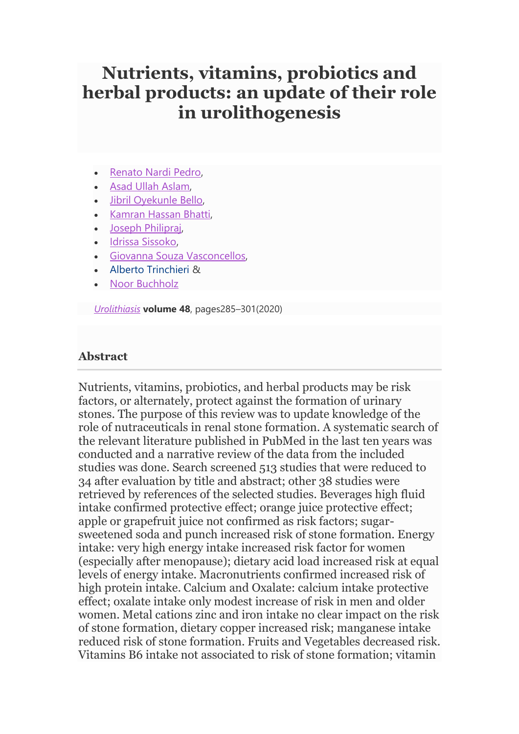# **Nutrients, vitamins, probiotics and herbal products: an update of their role in urolithogenesis**

- [Renato Nardi Pedro,](https://link.springer.com/article/10.1007/s00240-020-01182-x?utm_source=toc&utm_medium=email&utm_campaign=toc_240_48_4&utm_content=etoc_springer_20200705#auth-1)
- [Asad Ullah Aslam,](https://link.springer.com/article/10.1007/s00240-020-01182-x?utm_source=toc&utm_medium=email&utm_campaign=toc_240_48_4&utm_content=etoc_springer_20200705#auth-2)
- [Jibril Oyekunle Bello,](https://link.springer.com/article/10.1007/s00240-020-01182-x?utm_source=toc&utm_medium=email&utm_campaign=toc_240_48_4&utm_content=etoc_springer_20200705#auth-3)
- [Kamran Hassan Bhatti,](https://link.springer.com/article/10.1007/s00240-020-01182-x?utm_source=toc&utm_medium=email&utm_campaign=toc_240_48_4&utm_content=etoc_springer_20200705#auth-4)
- [Joseph Philipraj,](https://link.springer.com/article/10.1007/s00240-020-01182-x?utm_source=toc&utm_medium=email&utm_campaign=toc_240_48_4&utm_content=etoc_springer_20200705#auth-5)
- [Idrissa Sissoko,](https://link.springer.com/article/10.1007/s00240-020-01182-x?utm_source=toc&utm_medium=email&utm_campaign=toc_240_48_4&utm_content=etoc_springer_20200705#auth-6)
- [Giovanna Souza Vasconcellos,](https://link.springer.com/article/10.1007/s00240-020-01182-x?utm_source=toc&utm_medium=email&utm_campaign=toc_240_48_4&utm_content=etoc_springer_20200705#auth-7)
- [Alberto Trinchieri](https://link.springer.com/article/10.1007/s00240-020-01182-x?utm_source=toc&utm_medium=email&utm_campaign=toc_240_48_4&utm_content=etoc_springer_20200705#auth-8) &
- [Noor Buchholz](https://link.springer.com/article/10.1007/s00240-020-01182-x?utm_source=toc&utm_medium=email&utm_campaign=toc_240_48_4&utm_content=etoc_springer_20200705#auth-9)

*[Urolithiasis](https://link.springer.com/journal/240)* **volume 48**, pages285–301(2020)

## **Abstract**

Nutrients, vitamins, probiotics, and herbal products may be risk factors, or alternately, protect against the formation of urinary stones. The purpose of this review was to update knowledge of the role of nutraceuticals in renal stone formation. A systematic search of the relevant literature published in PubMed in the last ten years was conducted and a narrative review of the data from the included studies was done. Search screened 513 studies that were reduced to 34 after evaluation by title and abstract; other 38 studies were retrieved by references of the selected studies. Beverages high fluid intake confirmed protective effect; orange juice protective effect; apple or grapefruit juice not confirmed as risk factors; sugarsweetened soda and punch increased risk of stone formation. Energy intake: very high energy intake increased risk factor for women (especially after menopause); dietary acid load increased risk at equal levels of energy intake. Macronutrients confirmed increased risk of high protein intake. Calcium and Oxalate: calcium intake protective effect; oxalate intake only modest increase of risk in men and older women. Metal cations zinc and iron intake no clear impact on the risk of stone formation, dietary copper increased risk; manganese intake reduced risk of stone formation. Fruits and Vegetables decreased risk. Vitamins B6 intake not associated to risk of stone formation; vitamin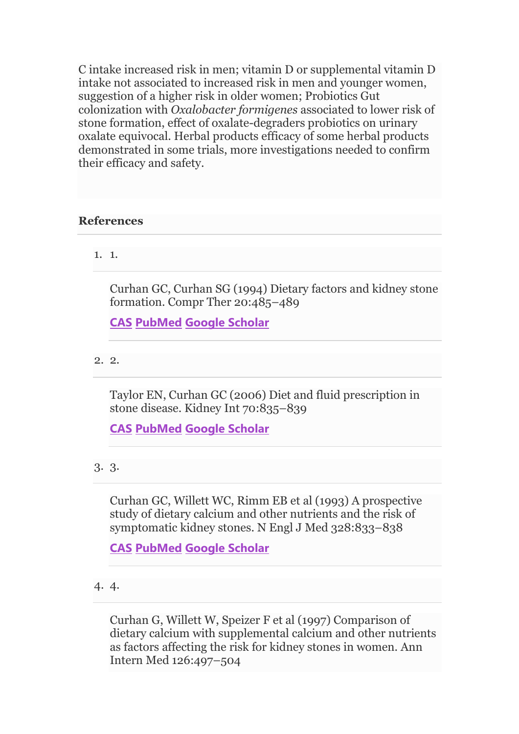C intake increased risk in men; vitamin D or supplemental vitamin D intake not associated to increased risk in men and younger women, suggestion of a higher risk in older women; Probiotics Gut colonization with *Oxalobacter formigenes* associated to lower risk of stone formation, effect of oxalate-degraders probiotics on urinary oxalate equivocal. Herbal products efficacy of some herbal products demonstrated in some trials, more investigations needed to confirm their efficacy and safety.

## **References**

1. 1.

Curhan GC, Curhan SG (1994) Dietary factors and kidney stone formation. Compr Ther 20:485–489

**[CAS](https://link.springer.com/articles/cas-redirect/1%3ASTN%3A280%3ADyaK2M7gtlykuw%253D%253D) [PubMed](http://www.ncbi.nlm.nih.gov/entrez/query.fcgi?cmd=Retrieve&db=PubMed&dopt=Abstract&list_uids=7805364) [Google Scholar](http://scholar.google.com/scholar_lookup?&title=Dietary%20factors%20and%20kidney%20stone%20formation&journal=Compr%20Ther&volume=20&pages=485-489&publication_year=1994&author=Curhan%2CGC&author=Curhan%2CSG)**

2. 2.

Taylor EN, Curhan GC (2006) Diet and fluid prescription in stone disease. Kidney Int 70:835–839

**[CAS](https://link.springer.com/articles/cas-redirect/1%3ASTN%3A280%3ADC%252BD28rgsVOltQ%253D%253D) [PubMed](http://www.ncbi.nlm.nih.gov/entrez/query.fcgi?cmd=Retrieve&db=PubMed&dopt=Abstract&list_uids=16837923) [Google Scholar](http://scholar.google.com/scholar_lookup?&title=Diet%20and%20fluid%20prescription%20in%20stone%20disease&journal=Kidney%20Int&volume=70&pages=835-839&publication_year=2006&author=Taylor%2CEN&author=Curhan%2CGC)**

3. 3.

Curhan GC, Willett WC, Rimm EB et al (1993) A prospective study of dietary calcium and other nutrients and the risk of symptomatic kidney stones. N Engl J Med 328:833–838

**[CAS](https://link.springer.com/articles/cas-redirect/1%3ASTN%3A280%3ADyaK3s7otVyltg%253D%253D) [PubMed](http://www.ncbi.nlm.nih.gov/entrez/query.fcgi?cmd=Retrieve&db=PubMed&dopt=Abstract&list_uids=8441427) [Google Scholar](http://scholar.google.com/scholar_lookup?&title=A%20prospective%20study%20of%20dietary%20calcium%20and%20other%20nutrients%20and%20the%20risk%20of%20symptomatic%20kidney%20stones&journal=N%20Engl%20J%20Med&volume=328&pages=833-838&publication_year=1993&author=Curhan%2CGC&author=Willett%2CWC&author=Rimm%2CEB)**

Curhan G, Willett W, Speizer F et al (1997) Comparison of dietary calcium with supplemental calcium and other nutrients as factors affecting the risk for kidney stones in women. Ann Intern Med 126:497–504

<sup>4.</sup> 4.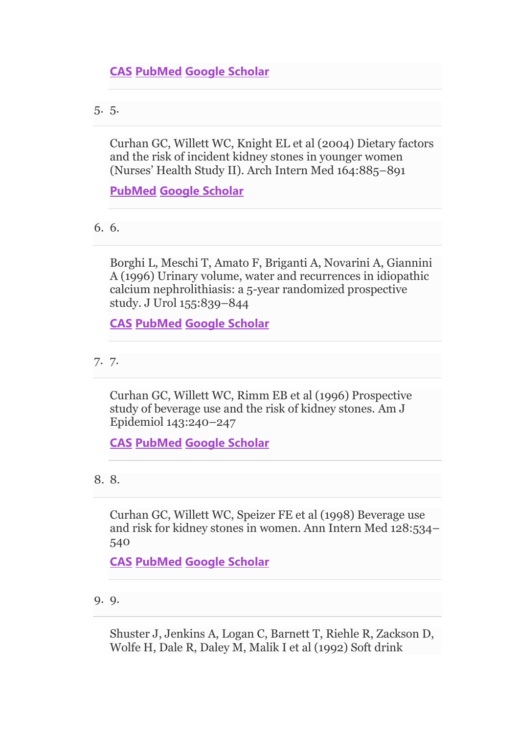5. 5.

Curhan GC, Willett WC, Knight EL et al (2004) Dietary factors and the risk of incident kidney stones in younger women (Nurses' Health Study II). Arch Intern Med 164:885–891

**[PubMed](http://www.ncbi.nlm.nih.gov/entrez/query.fcgi?cmd=Retrieve&db=PubMed&dopt=Abstract&list_uids=15111375) [Google Scholar](http://scholar.google.com/scholar_lookup?&title=Dietary%20factors%20and%20the%20risk%20of%20incident%20kidney%20stones%20in%20younger%20women%20%28Nurses%E2%80%99%20Health%20Study%20II%29&journal=Arch%20Intern%20Med&volume=164&pages=885-891&publication_year=2004&author=Curhan%2CGC&author=Willett%2CWC&author=Knight%2CEL)**

6. 6.

Borghi L, Meschi T, Amato F, Briganti A, Novarini A, Giannini A (1996) Urinary volume, water and recurrences in idiopathic calcium nephrolithiasis: a 5-year randomized prospective study. J Urol 155:839–844

**[CAS](https://link.springer.com/articles/cas-redirect/1%3ASTN%3A280%3ADyaK287msVKisw%253D%253D) [PubMed](http://www.ncbi.nlm.nih.gov/entrez/query.fcgi?cmd=Retrieve&db=PubMed&dopt=Abstract&list_uids=8583588) [Google Scholar](http://scholar.google.com/scholar_lookup?&title=Urinary%20volume%2C%20water%20and%20recurrences%20in%20idiopathic%20calcium%20nephrolithiasis%3A%20a%205-year%20randomized%20prospective%20study&journal=J%20Urol&volume=155&pages=839-844&publication_year=1996&author=Borghi%2CL&author=Meschi%2CT&author=Amato%2CF&author=Briganti%2CA&author=Novarini%2CA&author=Giannini%2CA)**

7. 7.

Curhan GC, Willett WC, Rimm EB et al (1996) Prospective study of beverage use and the risk of kidney stones. Am J Epidemiol 143:240–247

**[CAS](https://link.springer.com/articles/cas-redirect/1%3ASTN%3A280%3ADyaK287kvVynug%253D%253D) [PubMed](http://www.ncbi.nlm.nih.gov/entrez/query.fcgi?cmd=Retrieve&db=PubMed&dopt=Abstract&list_uids=8561157) [Google Scholar](http://scholar.google.com/scholar_lookup?&title=Prospective%20study%20of%20beverage%20use%20and%20the%20risk%20of%20kidney%20stones&journal=Am%20J%20Epidemiol&volume=143&pages=240-247&publication_year=1996&author=Curhan%2CGC&author=Willett%2CWC&author=Rimm%2CEB)**

8. 8.

Curhan GC, Willett WC, Speizer FE et al (1998) Beverage use and risk for kidney stones in women. Ann Intern Med 128:534– 540

**[CAS](https://link.springer.com/articles/cas-redirect/1%3ASTN%3A280%3ADyaK1c7nsFaktw%253D%253D) [PubMed](http://www.ncbi.nlm.nih.gov/entrez/query.fcgi?cmd=Retrieve&db=PubMed&dopt=Abstract&list_uids=9518397) [Google Scholar](http://scholar.google.com/scholar_lookup?&title=Beverage%20use%20and%20risk%20for%20kidney%20stones%20in%20women&journal=Ann%20Intern%20Med&volume=128&pages=534-540&publication_year=1998&author=Curhan%2CGC&author=Willett%2CWC&author=Speizer%2CFE)**

9. 9.

Shuster J, Jenkins A, Logan C, Barnett T, Riehle R, Zackson D, Wolfe H, Dale R, Daley M, Malik I et al (1992) Soft drink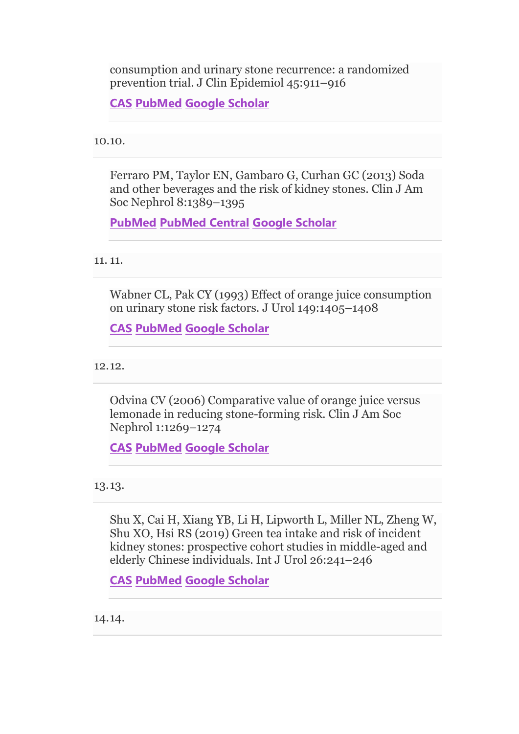consumption and urinary stone recurrence: a randomized prevention trial. J Clin Epidemiol 45:911–916

**[CAS](https://link.springer.com/articles/cas-redirect/1%3ASTN%3A280%3ADyaK38zisFOguw%253D%253D) [PubMed](http://www.ncbi.nlm.nih.gov/entrez/query.fcgi?cmd=Retrieve&db=PubMed&dopt=Abstract&list_uids=1624973) [Google Scholar](http://scholar.google.com/scholar_lookup?&title=Soft%20drink%20consumption%20and%20urinary%20stone%20recurrence%3A%20a%20randomized%20prevention%20trial&journal=J%20Clin%20Epidemiol&volume=45&pages=911-916&publication_year=1992&author=Shuster%2CJ&author=Jenkins%2CA&author=Logan%2CC&author=Barnett%2CT&author=Riehle%2CR&author=Zackson%2CD&author=Wolfe%2CH&author=Dale%2CR&author=Daley%2CM&author=Malik%2CI)**

10.10.

Ferraro PM, Taylor EN, Gambaro G, Curhan GC (2013) Soda and other beverages and the risk of kidney stones. Clin J Am Soc Nephrol 8:1389–1395

**[PubMed](http://www.ncbi.nlm.nih.gov/entrez/query.fcgi?cmd=Retrieve&db=PubMed&dopt=Abstract&list_uids=23676355) [PubMed Central](http://www.ncbi.nlm.nih.gov/pmc/articles/PMC3731916) [Google Scholar](http://scholar.google.com/scholar_lookup?&title=Soda%20and%20other%20beverages%20and%20the%20risk%20of%20kidney%20stones&journal=Clin%20J%20Am%20Soc%20Nephrol&volume=8&pages=1389-1395&publication_year=2013&author=Ferraro%2CPM&author=Taylor%2CEN&author=Gambaro%2CG&author=Curhan%2CGC)**

## 11. 11.

Wabner CL, Pak CY (1993) Effect of orange juice consumption on urinary stone risk factors. J Urol 149:1405–1408

**[CAS](https://link.springer.com/articles/cas-redirect/1%3ASTN%3A280%3ADyaK3s3nsVOitQ%253D%253D) [PubMed](http://www.ncbi.nlm.nih.gov/entrez/query.fcgi?cmd=Retrieve&db=PubMed&dopt=Abstract&list_uids=8501777) [Google Scholar](http://scholar.google.com/scholar_lookup?&title=Effect%20of%20orange%20juice%20consumption%20on%20urinary%20stone%20risk%20factors&journal=J%20Urol&volume=149&pages=1405-1408&publication_year=1993&author=Wabner%2CCL&author=Pak%2CCY)**

12.12.

Odvina CV (2006) Comparative value of orange juice versus lemonade in reducing stone-forming risk. Clin J Am Soc Nephrol 1:1269–1274

**[CAS](https://link.springer.com/articles/cas-redirect/1%3ACAS%3A528%3ADC%252BD28Xht1Gntb3P) [PubMed](http://www.ncbi.nlm.nih.gov/entrez/query.fcgi?cmd=Retrieve&db=PubMed&dopt=Abstract&list_uids=17699358) [Google Scholar](http://scholar.google.com/scholar_lookup?&title=Comparative%20value%20of%20orange%20juice%20versus%20lemonade%20in%20reducing%20stone-forming%20risk&journal=Clin%20J%20Am%20Soc%20Nephrol&volume=1&pages=1269-1274&publication_year=2006&author=Odvina%2CCV)**

13.13.

Shu X, Cai H, Xiang YB, Li H, Lipworth L, Miller NL, Zheng W, Shu XO, Hsi RS (2019) Green tea intake and risk of incident kidney stones: prospective cohort studies in middle-aged and elderly Chinese individuals. Int J Urol 26:241–246

**[CAS](https://link.springer.com/articles/cas-redirect/1%3ACAS%3A528%3ADC%252BC1MXisFCht7c%253D) [PubMed](http://www.ncbi.nlm.nih.gov/entrez/query.fcgi?cmd=Retrieve&db=PubMed&dopt=Abstract&list_uids=30408844) [Google Scholar](http://scholar.google.com/scholar_lookup?&title=Green%20tea%20intake%20and%20risk%20of%20incident%20kidney%20stones%3A%20prospective%20cohort%20studies%20in%20middle-aged%20and%20elderly%20Chinese%20individuals&journal=Int%20J%20Urol&volume=26&pages=241-246&publication_year=2019&author=Shu%2CX&author=Cai%2CH&author=Xiang%2CYB&author=Li%2CH&author=Lipworth%2CL&author=Miller%2CNL&author=Zheng%2CW&author=Shu%2CXO&author=Hsi%2CRS)**

14.14.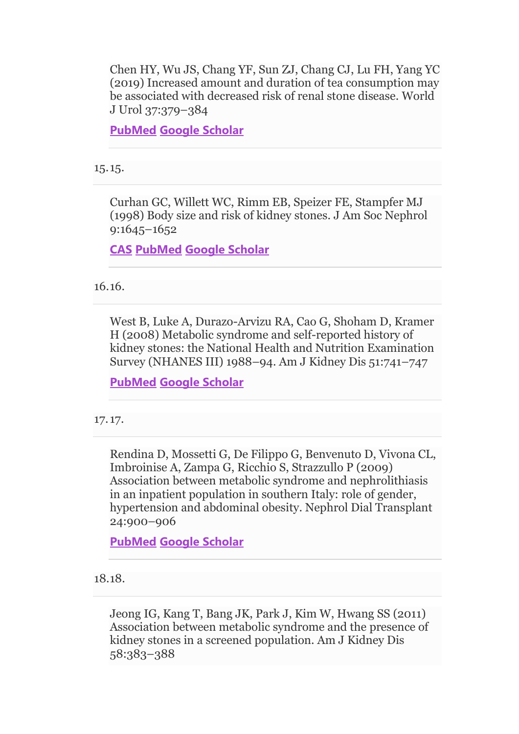Chen HY, Wu JS, Chang YF, Sun ZJ, Chang CJ, Lu FH, Yang YC (2019) Increased amount and duration of tea consumption may be associated with decreased risk of renal stone disease. World J Urol 37:379–384

**[PubMed](http://www.ncbi.nlm.nih.gov/entrez/query.fcgi?cmd=Retrieve&db=PubMed&dopt=Abstract&list_uids=29967945) [Google Scholar](http://scholar.google.com/scholar_lookup?&title=Increased%20amount%20and%20duration%20of%20tea%20consumption%20may%20be%20associated%20with%20decreased%20risk%20of%20renal%20stone%20disease&journal=World%20J%20Urol&volume=37&pages=379-384&publication_year=2019&author=Chen%2CHY&author=Wu%2CJS&author=Chang%2CYF&author=Sun%2CZJ&author=Chang%2CCJ&author=Lu%2CFH&author=Yang%2CYC)**

15.15.

Curhan GC, Willett WC, Rimm EB, Speizer FE, Stampfer MJ (1998) Body size and risk of kidney stones. J Am Soc Nephrol 9:1645–1652

**[CAS](https://link.springer.com/articles/cas-redirect/1%3ASTN%3A280%3ADyaK1czpsVemtA%253D%253D) [PubMed](http://www.ncbi.nlm.nih.gov/entrez/query.fcgi?cmd=Retrieve&db=PubMed&dopt=Abstract&list_uids=9727373) [Google Scholar](http://scholar.google.com/scholar_lookup?&title=Body%20size%20and%20risk%20of%20kidney%20stones&journal=J%20Am%20Soc%20Nephrol&volume=9&pages=1645-1652&publication_year=1998&author=Curhan%2CGC&author=Willett%2CWC&author=Rimm%2CEB&author=Speizer%2CFE&author=Stampfer%2CMJ)**

16.16.

West B, Luke A, Durazo-Arvizu RA, Cao G, Shoham D, Kramer H (2008) Metabolic syndrome and self-reported history of kidney stones: the National Health and Nutrition Examination Survey (NHANES III) 1988–94. Am J Kidney Dis 51:741–747

**[PubMed](http://www.ncbi.nlm.nih.gov/entrez/query.fcgi?cmd=Retrieve&db=PubMed&dopt=Abstract&list_uids=18436084) [Google Scholar](http://scholar.google.com/scholar_lookup?&title=Metabolic%20syndrome%20and%20self-reported%20history%20of%20kidney%20stones%3A%20the%20National%20Health%20and%20Nutrition%20Examination%20Survey%20%28NHANES%20III%29%201988%E2%80%9394&journal=Am%20J%20Kidney%20Dis&volume=51&pages=741-747&publication_year=2008&author=West%2CB&author=Luke%2CA&author=Durazo-Arvizu%2CRA&author=Cao%2CG&author=Shoham%2CD&author=Kramer%2CH)**

17. 17.

Rendina D, Mossetti G, De Filippo G, Benvenuto D, Vivona CL, Imbroinise A, Zampa G, Ricchio S, Strazzullo P (2009) Association between metabolic syndrome and nephrolithiasis in an inpatient population in southern Italy: role of gender, hypertension and abdominal obesity. Nephrol Dial Transplant 24:900–906

**[PubMed](http://www.ncbi.nlm.nih.gov/entrez/query.fcgi?cmd=Retrieve&db=PubMed&dopt=Abstract&list_uids=18835844) [Google Scholar](http://scholar.google.com/scholar_lookup?&title=Association%20between%20metabolic%20syndrome%20and%20nephrolithiasis%20in%20an%20inpatient%20population%20in%20southern%20Italy%3A%20role%20of%20gender%2C%20hypertension%20and%20abdominal%20obesity&journal=Nephrol%20Dial%20Transplant&volume=24&pages=900-906&publication_year=2009&author=Rendina%2CD&author=Mossetti%2CG&author=Filippo%2CG&author=Benvenuto%2CD&author=Vivona%2CCL&author=Imbroinise%2CA&author=Zampa%2CG&author=Ricchio%2CS&author=Strazzullo%2CP)**

18.18.

Jeong IG, Kang T, Bang JK, Park J, Kim W, Hwang SS (2011) Association between metabolic syndrome and the presence of kidney stones in a screened population. Am J Kidney Dis 58:383–388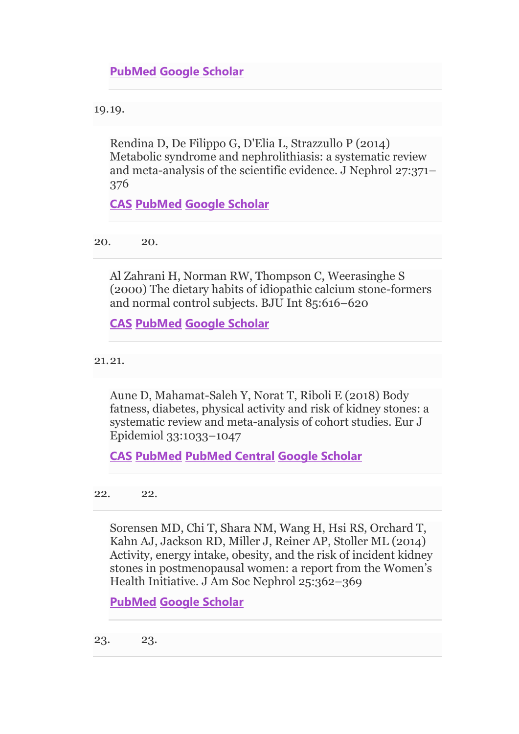19.19.

Rendina D, De Filippo G, D'Elia L, Strazzullo P (2014) Metabolic syndrome and nephrolithiasis: a systematic review and meta-analysis of the scientific evidence. J Nephrol 27:371– 376

**[CAS](https://link.springer.com/articles/cas-redirect/1%3ACAS%3A528%3ADC%252BC28Xhs1yktr0%253D) [PubMed](http://www.ncbi.nlm.nih.gov/entrez/query.fcgi?cmd=Retrieve&db=PubMed&dopt=Abstract&list_uids=24696310) [Google Scholar](http://scholar.google.com/scholar_lookup?&title=Metabolic%20syndrome%20and%20nephrolithiasis%3A%20a%20systematic%20review%20and%20meta-analysis%20of%20the%20scientific%20evidence&journal=J%20Nephrol&volume=27&pages=371-376&publication_year=2014&author=Rendina%2CD&author=Filippo%2CG&author=D%27Elia%2CL&author=Strazzullo%2CP)**

20. 20.

Al Zahrani H, Norman RW, Thompson C, Weerasinghe S (2000) The dietary habits of idiopathic calcium stone-formers and normal control subjects. BJU Int 85:616–620

**[CAS](https://link.springer.com/articles/cas-redirect/1%3ASTN%3A280%3ADC%252BD3c3itl2juw%253D%253D) [PubMed](http://www.ncbi.nlm.nih.gov/entrez/query.fcgi?cmd=Retrieve&db=PubMed&dopt=Abstract&list_uids=10759651) [Google Scholar](http://scholar.google.com/scholar_lookup?&title=The%20dietary%20habits%20of%20idiopathic%20calcium%20stone-formers%20and%20normal%20control%20subjects&journal=BJU%20Int&volume=85&pages=616-620&publication_year=2000&author=Al%20Zahrani%2CH&author=Norman%2CRW&author=Thompson%2CC&author=Weerasinghe%2CS)**

21.21.

Aune D, Mahamat-Saleh Y, Norat T, Riboli E (2018) Body fatness, diabetes, physical activity and risk of kidney stones: a systematic review and meta-analysis of cohort studies. Eur J Epidemiol 33:1033–1047

**[CAS](https://link.springer.com/articles/cas-redirect/1%3ACAS%3A528%3ADC%252BC1cXhsVahurjK) [PubMed](http://www.ncbi.nlm.nih.gov/entrez/query.fcgi?cmd=Retrieve&db=PubMed&dopt=Abstract&list_uids=30066054) [PubMed Central](http://www.ncbi.nlm.nih.gov/pmc/articles/PMC6208979) [Google Scholar](http://scholar.google.com/scholar_lookup?&title=Body%20fatness%2C%20diabetes%2C%20physical%20activity%20and%20risk%20of%20kidney%20stones%3A%20a%20systematic%20review%20and%20meta-analysis%20of%20cohort%20studies&journal=Eur%20J%20Epidemiol&volume=33&pages=1033-1047&publication_year=2018&author=Aune%2CD&author=Mahamat-Saleh%2CY&author=Norat%2CT&author=Riboli%2CE)**

22. 22.

Sorensen MD, Chi T, Shara NM, Wang H, Hsi RS, Orchard T, Kahn AJ, Jackson RD, Miller J, Reiner AP, Stoller ML (2014) Activity, energy intake, obesity, and the risk of incident kidney stones in postmenopausal women: a report from the Women's Health Initiative. J Am Soc Nephrol 25:362–369

**[PubMed](http://www.ncbi.nlm.nih.gov/entrez/query.fcgi?cmd=Retrieve&db=PubMed&dopt=Abstract&list_uids=24335976) [Google Scholar](http://scholar.google.com/scholar_lookup?&title=Activity%2C%20energy%20intake%2C%20obesity%2C%20and%20the%20risk%20of%20incident%20kidney%20stones%20in%20postmenopausal%20women%3A%20a%20report%20from%20the%20Women%E2%80%99s%20Health%20Initiative&journal=J%20Am%20Soc%20Nephrol&volume=25&pages=362-369&publication_year=2014&author=Sorensen%2CMD&author=Chi%2CT&author=Shara%2CNM&author=Wang%2CH&author=Hsi%2CRS&author=Orchard%2CT&author=Kahn%2CAJ&author=Jackson%2CRD&author=Miller%2CJ&author=Reiner%2CAP&author=Stoller%2CML)**

23. 23.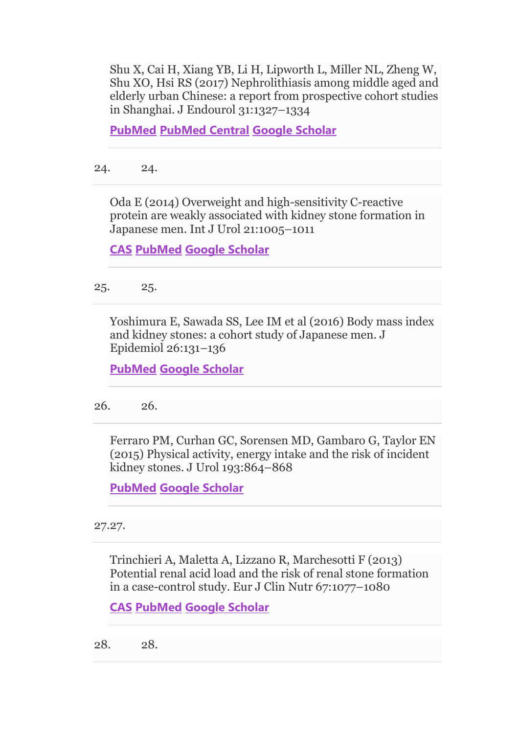Shu X, Cai H, Xiang YB, Li H, Lipworth L, Miller NL, Zheng W, Shu XO, Hsi RS (2017) Nephrolithiasis among middle aged and elderly urban Chinese: a report from prospective cohort studies in Shanghai. J Endourol 31:1327–1334

**[PubMed](http://www.ncbi.nlm.nih.gov/entrez/query.fcgi?cmd=Retrieve&db=PubMed&dopt=Abstract&list_uids=29048227) [PubMed Central](http://www.ncbi.nlm.nih.gov/pmc/articles/PMC5734141) [Google Scholar](http://scholar.google.com/scholar_lookup?&title=Nephrolithiasis%20among%20middle%20aged%20and%20elderly%20urban%20Chinese%3A%20a%20report%20from%20prospective%20cohort%20studies%20in%20Shanghai&journal=J%20Endourol&volume=31&pages=1327-1334&publication_year=2017&author=Shu%2CX&author=Cai%2CH&author=Xiang%2CYB&author=Li%2CH&author=Lipworth%2CL&author=Miller%2CNL&author=Zheng%2CW&author=Shu%2CXO&author=Hsi%2CRS)**

24. 24.

Oda E (2014) Overweight and high-sensitivity C-reactive protein are weakly associated with kidney stone formation in Japanese men. Int J Urol 21:1005–1011

**[CAS](https://link.springer.com/articles/cas-redirect/1%3ACAS%3A528%3ADC%252BC2cXhs1yis7nM) [PubMed](http://www.ncbi.nlm.nih.gov/entrez/query.fcgi?cmd=Retrieve&db=PubMed&dopt=Abstract&list_uids=24910395) [Google Scholar](http://scholar.google.com/scholar_lookup?&title=Overweight%20and%20high-sensitivity%20C-reactive%20protein%20are%20weakly%20associated%20with%20kidney%20stone%20formation%20in%20Japanese%20men&journal=Int%20J%20Urol&volume=21&pages=1005-1011&publication_year=2014&author=Oda%2CE)**

25. 25.

Yoshimura E, Sawada SS, Lee IM et al (2016) Body mass index and kidney stones: a cohort study of Japanese men. J Epidemiol 26:131–136

**[PubMed](http://www.ncbi.nlm.nih.gov/entrez/query.fcgi?cmd=Retrieve&db=PubMed&dopt=Abstract&list_uids=26616396) [Google Scholar](http://scholar.google.com/scholar_lookup?&title=Body%20mass%20index%20and%20kidney%20stones%3A%20a%20cohort%20study%20of%20Japanese%20men&journal=J%20Epidemiol&volume=26&pages=131-136&publication_year=2016&author=Yoshimura%2CE&author=Sawada%2CSS&author=Lee%2CIM)**

26. 26.

Ferraro PM, Curhan GC, Sorensen MD, Gambaro G, Taylor EN (2015) Physical activity, energy intake and the risk of incident kidney stones. J Urol 193:864–868

**[PubMed](http://www.ncbi.nlm.nih.gov/entrez/query.fcgi?cmd=Retrieve&db=PubMed&dopt=Abstract&list_uids=25229560) [Google Scholar](http://scholar.google.com/scholar_lookup?&title=Physical%20activity%2C%20energy%20intake%20and%20the%20risk%20of%20incident%20kidney%20stones&journal=J%20Urol&volume=193&pages=864-868&publication_year=2015&author=Ferraro%2CPM&author=Curhan%2CGC&author=Sorensen%2CMD&author=Gambaro%2CG&author=Taylor%2CEN)**

27.27.

Trinchieri A, Maletta A, Lizzano R, Marchesotti F (2013) Potential renal acid load and the risk of renal stone formation in a case-control study. Eur J Clin Nutr 67:1077–1080

```
CAS PubMed Google Scholar
```
28. 28.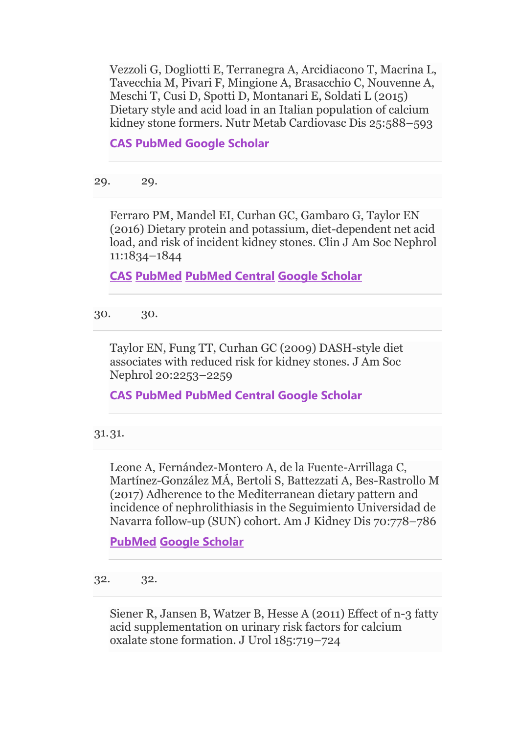Vezzoli G, Dogliotti E, Terranegra A, Arcidiacono T, Macrina L, Tavecchia M, Pivari F, Mingione A, Brasacchio C, Nouvenne A, Meschi T, Cusi D, Spotti D, Montanari E, Soldati L (2015) Dietary style and acid load in an Italian population of calcium kidney stone formers. Nutr Metab Cardiovasc Dis 25:588–593

**[CAS](https://link.springer.com/articles/cas-redirect/1%3ACAS%3A528%3ADC%252BC2MXlsFegsLo%253D) [PubMed](http://www.ncbi.nlm.nih.gov/entrez/query.fcgi?cmd=Retrieve&db=PubMed&dopt=Abstract&list_uids=25921845) [Google Scholar](http://scholar.google.com/scholar_lookup?&title=Dietary%20style%20and%20acid%20load%20in%20an%20Italian%20population%20of%20calcium%20kidney%20stone%20formers&journal=Nutr%20Metab%20Cardiovasc%20Dis&volume=25&pages=588-593&publication_year=2015&author=Vezzoli%2CG&author=Dogliotti%2CE&author=Terranegra%2CA&author=Arcidiacono%2CT&author=Macrina%2CL&author=Tavecchia%2CM&author=Pivari%2CF&author=Mingione%2CA&author=Brasacchio%2CC&author=Nouvenne%2CA&author=Meschi%2CT&author=Cusi%2CD&author=Spotti%2CD&author=Montanari%2CE&author=Soldati%2CL)**

29. 29.

Ferraro PM, Mandel EI, Curhan GC, Gambaro G, Taylor EN (2016) Dietary protein and potassium, diet-dependent net acid load, and risk of incident kidney stones. Clin J Am Soc Nephrol 11:1834–1844

**[CAS](https://link.springer.com/articles/cas-redirect/1%3ACAS%3A528%3ADC%252BC1cXhsVOlurg%253D) [PubMed](http://www.ncbi.nlm.nih.gov/entrez/query.fcgi?cmd=Retrieve&db=PubMed&dopt=Abstract&list_uids=27445166) [PubMed Central](http://www.ncbi.nlm.nih.gov/pmc/articles/PMC5053786) [Google Scholar](http://scholar.google.com/scholar_lookup?&title=Dietary%20protein%20and%20potassium%2C%20diet-dependent%20net%20acid%20load%2C%20and%20risk%20of%20incident%20kidney%20stones&journal=Clin%20J%20Am%20Soc%20Nephrol&volume=11&pages=1834-1844&publication_year=2016&author=Ferraro%2CPM&author=Mandel%2CEI&author=Curhan%2CGC&author=Gambaro%2CG&author=Taylor%2CEN)**

30. 30.

Taylor EN, Fung TT, Curhan GC (2009) DASH-style diet associates with reduced risk for kidney stones. J Am Soc Nephrol 20:2253–2259

**[CAS](https://link.springer.com/articles/cas-redirect/1%3ACAS%3A528%3ADC%252BD1MXhtlSrsbfL) [PubMed](http://www.ncbi.nlm.nih.gov/entrez/query.fcgi?cmd=Retrieve&db=PubMed&dopt=Abstract&list_uids=19679672) [PubMed Central](http://www.ncbi.nlm.nih.gov/pmc/articles/PMC2754098) [Google Scholar](http://scholar.google.com/scholar_lookup?&title=DASH-style%20diet%20associates%20with%20reduced%20risk%20for%20kidney%20stones&journal=J%20Am%20Soc%20Nephrol&volume=20&pages=2253-2259&publication_year=2009&author=Taylor%2CEN&author=Fung%2CTT&author=Curhan%2CGC)**

31.31.

Leone A, Fernández-Montero A, de la Fuente-Arrillaga C, Martínez-González MÁ, Bertoli S, Battezzati A, Bes-Rastrollo M (2017) Adherence to the Mediterranean dietary pattern and incidence of nephrolithiasis in the Seguimiento Universidad de Navarra follow-up (SUN) cohort. Am J Kidney Dis 70:778–786

**[PubMed](http://www.ncbi.nlm.nih.gov/entrez/query.fcgi?cmd=Retrieve&db=PubMed&dopt=Abstract&list_uids=28838765) [Google Scholar](http://scholar.google.com/scholar_lookup?&title=Adherence%20to%20the%20Mediterranean%20dietary%20pattern%20and%20incidence%20of%20nephrolithiasis%20in%20the%20Seguimiento%20Universidad%20de%20Navarra%20follow-up%20%28SUN%29%20cohort&journal=Am%20J%20Kidney%20Dis&volume=70&pages=778-786&publication_year=2017&author=Leone%2CA&author=Fern%C3%A1ndez-Montero%2CA&author=Fuente-Arrillaga%2CC&author=Mart%C3%ADnez-Gonz%C3%A1lez%2CM%C3%81&author=Bertoli%2CS&author=Battezzati%2CA&author=Bes-Rastrollo%2CM)**

32. 32.

Siener R, Jansen B, Watzer B, Hesse A (2011) Effect of n-3 fatty acid supplementation on urinary risk factors for calcium oxalate stone formation. J Urol 185:719–724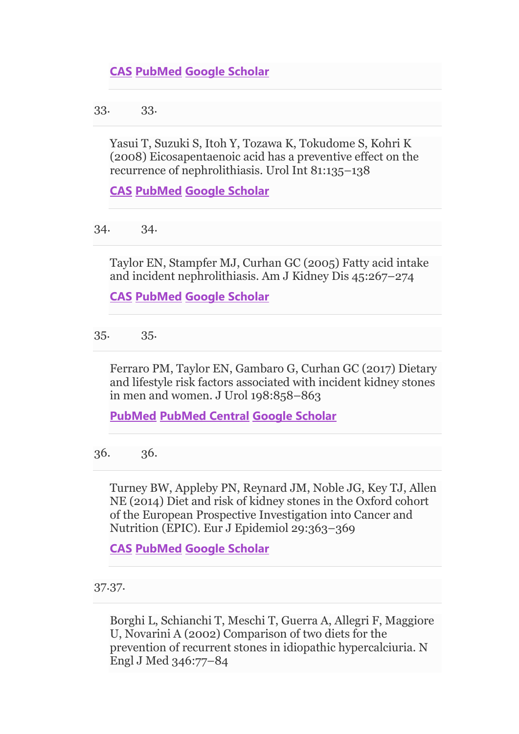33. 33.

Yasui T, Suzuki S, Itoh Y, Tozawa K, Tokudome S, Kohri K (2008) Eicosapentaenoic acid has a preventive effect on the recurrence of nephrolithiasis. Urol Int 81:135–138

**[CAS](https://link.springer.com/articles/cas-redirect/1%3ACAS%3A528%3ADC%252BD1cXhtVGnsLnO) [PubMed](http://www.ncbi.nlm.nih.gov/entrez/query.fcgi?cmd=Retrieve&db=PubMed&dopt=Abstract&list_uids=18758209) [Google Scholar](http://scholar.google.com/scholar_lookup?&title=Eicosapentaenoic%20acid%20has%20a%20preventive%20effect%20on%20the%20recurrence%20of%20nephrolithiasis&journal=Urol%20Int&volume=81&pages=135-138&publication_year=2008&author=Yasui%2CT&author=Suzuki%2CS&author=Itoh%2CY&author=Tozawa%2CK&author=Tokudome%2CS&author=Kohri%2CK)**

34. 34.

Taylor EN, Stampfer MJ, Curhan GC (2005) Fatty acid intake and incident nephrolithiasis. Am J Kidney Dis 45:267–274

**[CAS](https://link.springer.com/articles/cas-redirect/1%3ACAS%3A528%3ADC%252BD2MXit1yitL4%253D) [PubMed](http://www.ncbi.nlm.nih.gov/entrez/query.fcgi?cmd=Retrieve&db=PubMed&dopt=Abstract&list_uids=15685503) [Google Scholar](http://scholar.google.com/scholar_lookup?&title=Fatty%20acid%20intake%20and%20incident%20nephrolithiasis&journal=Am%20J%20Kidney%20Dis&volume=45&pages=267-274&publication_year=2005&author=Taylor%2CEN&author=Stampfer%2CMJ&author=Curhan%2CGC)**

35. 35.

Ferraro PM, Taylor EN, Gambaro G, Curhan GC (2017) Dietary and lifestyle risk factors associated with incident kidney stones in men and women. J Urol 198:858–863

**[PubMed](http://www.ncbi.nlm.nih.gov/entrez/query.fcgi?cmd=Retrieve&db=PubMed&dopt=Abstract&list_uids=28365271) [PubMed Central](http://www.ncbi.nlm.nih.gov/pmc/articles/PMC5599330) [Google Scholar](http://scholar.google.com/scholar_lookup?&title=Dietary%20and%20lifestyle%20risk%20factors%20associated%20with%20incident%20kidney%20stones%20in%20men%20and%20women&journal=J%20Urol&volume=198&pages=858-863&publication_year=2017&author=Ferraro%2CPM&author=Taylor%2CEN&author=Gambaro%2CG&author=Curhan%2CGC)**

36. 36.

Turney BW, Appleby PN, Reynard JM, Noble JG, Key TJ, Allen NE (2014) Diet and risk of kidney stones in the Oxford cohort of the European Prospective Investigation into Cancer and Nutrition (EPIC). Eur J Epidemiol 29:363–369

**[CAS](https://link.springer.com/articles/cas-redirect/1%3ACAS%3A528%3ADC%252BC2cXms1Crsbk%253D) [PubMed](http://www.ncbi.nlm.nih.gov/entrez/query.fcgi?cmd=Retrieve&db=PubMed&dopt=Abstract&list_uids=24752465) [Google Scholar](http://scholar.google.com/scholar_lookup?&title=Diet%20and%20risk%20of%20kidney%20stones%20in%20the%20Oxford%20cohort%20of%20the%20European%20Prospective%20Investigation%20into%20Cancer%20and%20Nutrition%20%28EPIC%29&journal=Eur%20J%20Epidemiol&volume=29&pages=363-369&publication_year=2014&author=Turney%2CBW&author=Appleby%2CPN&author=Reynard%2CJM&author=Noble%2CJG&author=Key%2CTJ&author=Allen%2CNE)**

37.37.

Borghi L, Schianchi T, Meschi T, Guerra A, Allegri F, Maggiore U, Novarini A (2002) Comparison of two diets for the prevention of recurrent stones in idiopathic hypercalciuria. N Engl J Med 346:77–84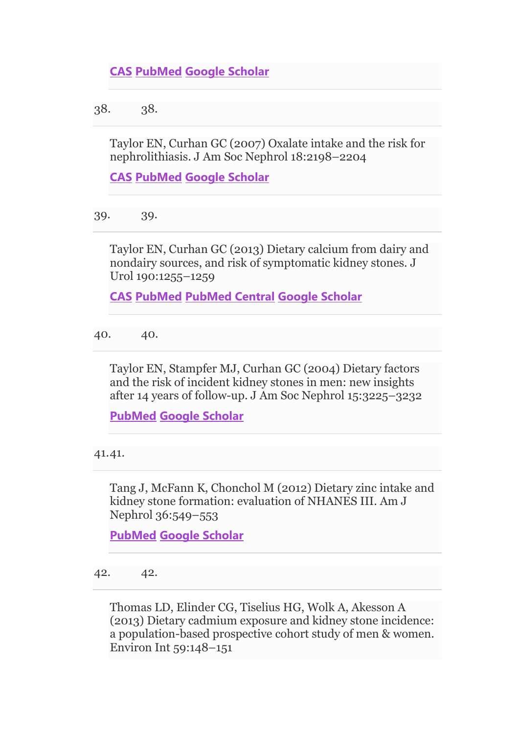38. 38.

Taylor EN, Curhan GC (2007) Oxalate intake and the risk for nephrolithiasis. J Am Soc Nephrol 18:2198–2204

**[CAS](https://link.springer.com/articles/cas-redirect/1%3ACAS%3A528%3ADC%252BD2sXotlWnurs%253D) [PubMed](http://www.ncbi.nlm.nih.gov/entrez/query.fcgi?cmd=Retrieve&db=PubMed&dopt=Abstract&list_uids=17538185) [Google Scholar](http://scholar.google.com/scholar_lookup?&title=Oxalate%20intake%20and%20the%20risk%20for%20nephrolithiasis&journal=J%20Am%20Soc%20Nephrol&volume=18&pages=2198-2204&publication_year=2007&author=Taylor%2CEN&author=Curhan%2CGC)**

39. 39.

Taylor EN, Curhan GC (2013) Dietary calcium from dairy and nondairy sources, and risk of symptomatic kidney stones. J Urol 190:1255–1259

**[CAS](https://link.springer.com/articles/cas-redirect/1%3ACAS%3A528%3ADC%252BC3sXhtlShsrzO) [PubMed](http://www.ncbi.nlm.nih.gov/entrez/query.fcgi?cmd=Retrieve&db=PubMed&dopt=Abstract&list_uids=23535174) [PubMed Central](http://www.ncbi.nlm.nih.gov/pmc/articles/PMC4393945) [Google Scholar](http://scholar.google.com/scholar_lookup?&title=Dietary%20calcium%20from%20dairy%20and%20nondairy%20sources%2C%20and%20risk%20of%20symptomatic%20kidney%20stones&journal=J%20Urol&volume=190&pages=1255-1259&publication_year=2013&author=Taylor%2CEN&author=Curhan%2CGC)**

40. 40.

Taylor EN, Stampfer MJ, Curhan GC (2004) Dietary factors and the risk of incident kidney stones in men: new insights after 14 years of follow-up. J Am Soc Nephrol 15:3225–3232

**[PubMed](http://www.ncbi.nlm.nih.gov/entrez/query.fcgi?cmd=Retrieve&db=PubMed&dopt=Abstract&list_uids=15579526) [Google Scholar](http://scholar.google.com/scholar_lookup?&title=Dietary%20factors%20and%20the%20risk%20of%20incident%20kidney%20stones%20in%20men%3A%20new%20insights%20after%2014%20years%20of%20follow-up&journal=J%20Am%20Soc%20Nephrol&volume=15&pages=3225-3232&publication_year=2004&author=Taylor%2CEN&author=Stampfer%2CMJ&author=Curhan%2CGC)**

41.41.

Tang J, McFann K, Chonchol M (2012) Dietary zinc intake and kidney stone formation: evaluation of NHANES III. Am J Nephrol 36:549–553

**[PubMed](http://www.ncbi.nlm.nih.gov/entrez/query.fcgi?cmd=Retrieve&db=PubMed&dopt=Abstract&list_uids=23221031) [Google Scholar](http://scholar.google.com/scholar_lookup?&title=Dietary%20zinc%20intake%20and%20kidney%20stone%20formation%3A%20evaluation%20of%20NHANES%20III&journal=Am%20J%20Nephrol&volume=36&pages=549-553&publication_year=2012&author=Tang%2CJ&author=McFann%2CK&author=Chonchol%2CM)**

42. 42.

Thomas LD, Elinder CG, Tiselius HG, Wolk A, Akesson A (2013) Dietary cadmium exposure and kidney stone incidence: a population-based prospective cohort study of men & women. Environ Int 59:148–151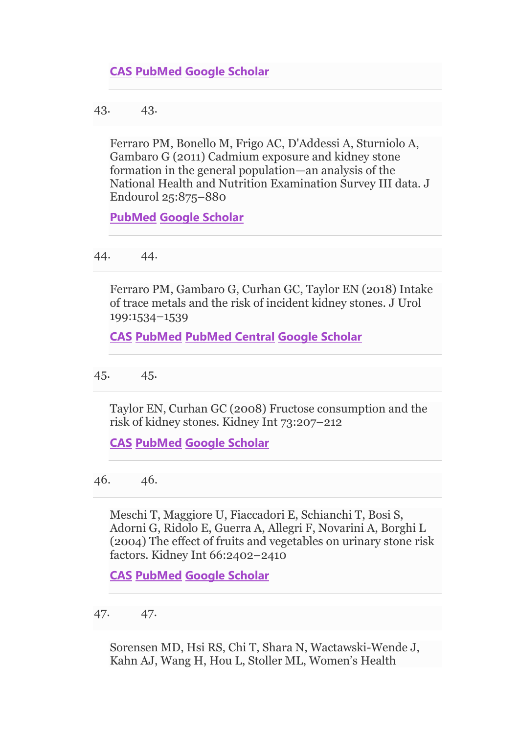43. 43.

Ferraro PM, Bonello M, Frigo AC, D'Addessi A, Sturniolo A, Gambaro G (2011) Cadmium exposure and kidney stone formation in the general population—an analysis of the National Health and Nutrition Examination Survey III data. J Endourol 25:875–880

**[PubMed](http://www.ncbi.nlm.nih.gov/entrez/query.fcgi?cmd=Retrieve&db=PubMed&dopt=Abstract&list_uids=21506691) [Google Scholar](http://scholar.google.com/scholar_lookup?&title=Cadmium%20exposure%20and%20kidney%20stone%20formation%20in%20the%20general%20population%E2%80%94an%20analysis%20of%20the%20National%20Health%20and%20Nutrition%20Examination%20Survey%20III%20data&journal=J%20Endourol&volume=25&pages=875-880&publication_year=2011&author=Ferraro%2CPM&author=Bonello%2CM&author=Frigo%2CAC&author=D%27Addessi%2CA&author=Sturniolo%2CA&author=Gambaro%2CG)**

44. 44.

Ferraro PM, Gambaro G, Curhan GC, Taylor EN (2018) Intake of trace metals and the risk of incident kidney stones. J Urol 199:1534–1539

**[CAS](https://link.springer.com/articles/cas-redirect/1%3ACAS%3A528%3ADC%252BC1cXlt1Srtbg%253D) [PubMed](http://www.ncbi.nlm.nih.gov/entrez/query.fcgi?cmd=Retrieve&db=PubMed&dopt=Abstract&list_uids=29391176) [PubMed Central](http://www.ncbi.nlm.nih.gov/pmc/articles/PMC6689148) [Google Scholar](http://scholar.google.com/scholar_lookup?&title=Intake%20of%20trace%20metals%20and%20the%20risk%20of%20incident%20kidney%20stones&journal=J%20Urol&volume=199&pages=1534-1539&publication_year=2018&author=Ferraro%2CPM&author=Gambaro%2CG&author=Curhan%2CGC&author=Taylor%2CEN)**

45. 45.

Taylor EN, Curhan GC (2008) Fructose consumption and the risk of kidney stones. Kidney Int 73:207–212

**[CAS](https://link.springer.com/articles/cas-redirect/1%3ACAS%3A528%3ADC%252BD2sXhsVyltL7P) [PubMed](http://www.ncbi.nlm.nih.gov/entrez/query.fcgi?cmd=Retrieve&db=PubMed&dopt=Abstract&list_uids=17928824) [Google Scholar](http://scholar.google.com/scholar_lookup?&title=Fructose%20consumption%20and%20the%20risk%20of%20kidney%20stones&journal=Kidney%20Int&volume=73&pages=207-212&publication_year=2008&author=Taylor%2CEN&author=Curhan%2CGC)**

46. 46.

Meschi T, Maggiore U, Fiaccadori E, Schianchi T, Bosi S, Adorni G, Ridolo E, Guerra A, Allegri F, Novarini A, Borghi L (2004) The effect of fruits and vegetables on urinary stone risk factors. Kidney Int 66:2402–2410

**[CAS](https://link.springer.com/articles/cas-redirect/1%3ACAS%3A528%3ADC%252BD2MXisVyisA%253D%253D) [PubMed](http://www.ncbi.nlm.nih.gov/entrez/query.fcgi?cmd=Retrieve&db=PubMed&dopt=Abstract&list_uids=15569332) [Google Scholar](http://scholar.google.com/scholar_lookup?&title=The%20effect%20of%20fruits%20and%20vegetables%20on%20urinary%20stone%20risk%20factors&journal=Kidney%20Int&volume=66&pages=2402-2410&publication_year=2004&author=Meschi%2CT&author=Maggiore%2CU&author=Fiaccadori%2CE&author=Schianchi%2CT&author=Bosi%2CS&author=Adorni%2CG&author=Ridolo%2CE&author=Guerra%2CA&author=Allegri%2CF&author=Novarini%2CA&author=Borghi%2CL)**

47. 47.

Sorensen MD, Hsi RS, Chi T, Shara N, Wactawski-Wende J, Kahn AJ, Wang H, Hou L, Stoller ML, Women's Health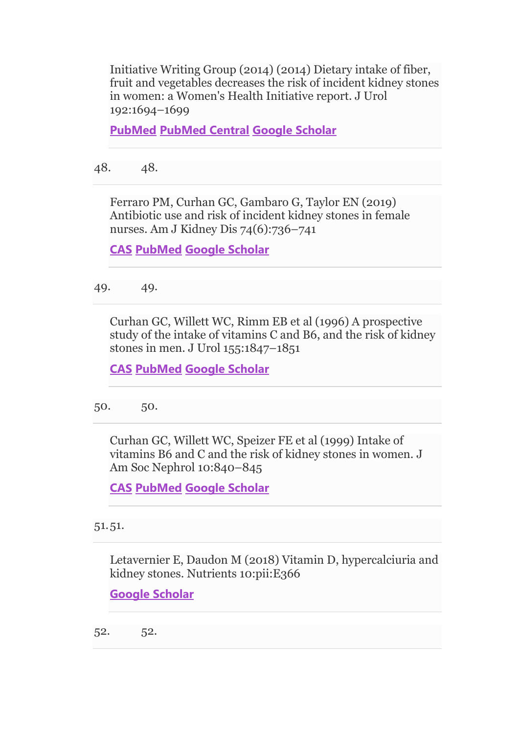Initiative Writing Group (2014) (2014) Dietary intake of fiber, fruit and vegetables decreases the risk of incident kidney stones in women: a Women's Health Initiative report. J Urol 192:1694–1699

**[PubMed](http://www.ncbi.nlm.nih.gov/entrez/query.fcgi?cmd=Retrieve&db=PubMed&dopt=Abstract&list_uids=24859445) [PubMed Central](http://www.ncbi.nlm.nih.gov/pmc/articles/PMC4241174) [Google Scholar](http://scholar.google.com/scholar_lookup?&title=%282014%29%20Dietary%20intake%20of%20fiber%2C%20fruit%20and%20vegetables%20decreases%20the%20risk%20of%20incident%20kidney%20stones%20in%20women%3A%20a%20Women%27s%20Health%20Initiative%20report&journal=J%20Urol&volume=192&pages=1694-1699&publication_year=2014&author=Sorensen%2CMD&author=Hsi%2CRS&author=Chi%2CT&author=Shara%2CN&author=Wactawski-Wende%2CJ&author=Kahn%2CAJ&author=Wang%2CH&author=Hou%2CL&author=Stoller%2CML)**

48. 48.

Ferraro PM, Curhan GC, Gambaro G, Taylor EN (2019) Antibiotic use and risk of incident kidney stones in female nurses. Am J Kidney Dis 74(6):736–741

**[CAS](https://link.springer.com/articles/cas-redirect/1%3ACAS%3A528%3ADC%252BC1MXhvVWitbzE) [PubMed](http://www.ncbi.nlm.nih.gov/entrez/query.fcgi?cmd=Retrieve&db=PubMed&dopt=Abstract&list_uids=31543288) [Google Scholar](http://scholar.google.com/scholar_lookup?&title=Antibiotic%20use%20and%20risk%20of%20incident%20kidney%20stones%20in%20female%20nurses&journal=Am%20J%20Kidney%20Dis&volume=74&issue=6&pages=736-741&publication_year=2019&author=Ferraro%2CPM&author=Curhan%2CGC&author=Gambaro%2CG&author=Taylor%2CEN)**

49. 49.

Curhan GC, Willett WC, Rimm EB et al (1996) A prospective study of the intake of vitamins C and B6, and the risk of kidney stones in men. J Urol 155:1847–1851

**[CAS](https://link.springer.com/articles/cas-redirect/1%3ASTN%3A280%3ADyaK283ht1Clug%253D%253D) [PubMed](http://www.ncbi.nlm.nih.gov/entrez/query.fcgi?cmd=Retrieve&db=PubMed&dopt=Abstract&list_uids=8618271) [Google Scholar](http://scholar.google.com/scholar_lookup?&title=A%20prospective%20study%20of%20the%20intake%20of%20vitamins%20C%20and%20B6%2C%20and%20the%20risk%20of%20kidney%20stones%20in%20men&journal=J%20Urol&volume=155&pages=1847-1851&publication_year=1996&author=Curhan%2CGC&author=Willett%2CWC&author=Rimm%2CEB)**

50. 50.

Curhan GC, Willett WC, Speizer FE et al (1999) Intake of vitamins B6 and C and the risk of kidney stones in women. J Am Soc Nephrol 10:840–845

**[CAS](https://link.springer.com/articles/cas-redirect/1%3ACAS%3A528%3ADyaK1MXitl2kur8%253D) [PubMed](http://www.ncbi.nlm.nih.gov/entrez/query.fcgi?cmd=Retrieve&db=PubMed&dopt=Abstract&list_uids=10203369) [Google Scholar](http://scholar.google.com/scholar_lookup?&title=Intake%20of%20vitamins%20B6%20and%20C%20and%20the%20risk%20of%20kidney%20stones%20in%20women&journal=J%20Am%20Soc%20Nephrol&volume=10&pages=840-845&publication_year=1999&author=Curhan%2CGC&author=Willett%2CWC&author=Speizer%2CFE)**

51.51.

Letavernier E, Daudon M (2018) Vitamin D, hypercalciuria and kidney stones. Nutrients 10:pii:E366

**[Google Scholar](http://scholar.google.com/scholar_lookup?&title=Vitamin%20D%2C%20hypercalciuria%20and%20kidney%20stones&journal=Nutrients&volume=10&publication_year=2018&author=Letavernier%2CE&author=Daudon%2CM)**

52. 52.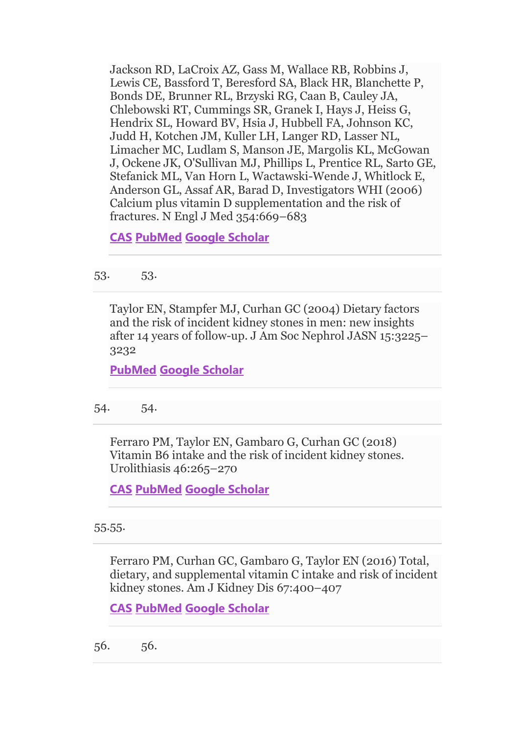Jackson RD, LaCroix AZ, Gass M, Wallace RB, Robbins J, Lewis CE, Bassford T, Beresford SA, Black HR, Blanchette P, Bonds DE, Brunner RL, Brzyski RG, Caan B, Cauley JA, Chlebowski RT, Cummings SR, Granek I, Hays J, Heiss G, Hendrix SL, Howard BV, Hsia J, Hubbell FA, Johnson KC, Judd H, Kotchen JM, Kuller LH, Langer RD, Lasser NL, Limacher MC, Ludlam S, Manson JE, Margolis KL, McGowan J, Ockene JK, O'Sullivan MJ, Phillips L, Prentice RL, Sarto GE, Stefanick ML, Van Horn L, Wactawski-Wende J, Whitlock E, Anderson GL, Assaf AR, Barad D, Investigators WHI (2006) Calcium plus vitamin D supplementation and the risk of fractures. N Engl J Med 354:669–683

**[CAS](https://link.springer.com/articles/cas-redirect/1%3ACAS%3A528%3ADC%252BD28XhsVWksr0%253D) [PubMed](http://www.ncbi.nlm.nih.gov/entrez/query.fcgi?cmd=Retrieve&db=PubMed&dopt=Abstract&list_uids=16481635) [Google Scholar](http://scholar.google.com/scholar_lookup?&title=Calcium%20plus%20vitamin%20D%20supplementation%20and%20the%20risk%20of%20fractures&journal=N%20Engl%20J%20Med&volume=354&pages=669-683&publication_year=2006&author=Jackson%2CRD&author=LaCroix%2CAZ&author=Gass%2CM&author=Wallace%2CRB&author=Robbins%2CJ&author=Lewis%2CCE&author=Bassford%2CT&author=Beresford%2CSA&author=Black%2CHR&author=Blanchette%2CP&author=Bonds%2CDE&author=Brunner%2CRL&author=Brzyski%2CRG&author=Caan%2CB&author=Cauley%2CJA&author=Chlebowski%2CRT&author=Cummings%2CSR&author=Granek%2CI&author=Hays%2CJ&author=Heiss%2CG&author=Hendrix%2CSL&author=Howard%2CBV&author=Hsia%2CJ&author=Hubbell%2CFA&author=Johnson%2CKC&author=Judd%2CH&author=Kotchen%2CJM&author=Kuller%2CLH&author=Langer%2CRD&author=Lasser%2CNL&author=Limacher%2CMC&author=Ludlam%2CS&author=Manson%2CJE&author=Margolis%2CKL&author=McGowan%2CJ&author=Ockene%2CJK&author=O%27Sullivan%2CMJ&author=Phillips%2CL&author=Prentice%2CRL&author=Sarto%2CGE&author=Stefanick%2CML&author=Horn%2CL&author=Wactawski-Wende%2CJ&author=Whitlock%2CE&author=Anderson%2CGL&author=Assaf%2CAR&author=Barad%2CD&author=Investigators%2CWHI)**

53. 53.

Taylor EN, Stampfer MJ, Curhan GC (2004) Dietary factors and the risk of incident kidney stones in men: new insights after 14 years of follow-up. J Am Soc Nephrol JASN 15:3225– 3232

**[PubMed](http://www.ncbi.nlm.nih.gov/entrez/query.fcgi?cmd=Retrieve&db=PubMed&dopt=Abstract&list_uids=15579526) [Google Scholar](http://scholar.google.com/scholar_lookup?&title=Dietary%20factors%20and%20the%20risk%20of%20incident%20kidney%20stones%20in%20men%3A%20new%20insights%20after%2014%20years%20of%20follow-up&journal=J%20Am%20Soc%20Nephrol%20JASN&volume=15&pages=3225-3232&publication_year=2004&author=Taylor%2CEN&author=Stampfer%2CMJ&author=Curhan%2CGC)**

54. 54.

Ferraro PM, Taylor EN, Gambaro G, Curhan GC (2018) Vitamin B6 intake and the risk of incident kidney stones. Urolithiasis 46:265–270

**[CAS](https://link.springer.com/articles/cas-redirect/1%3ACAS%3A528%3ADC%252BC2sXhtFKiu7rN) [PubMed](http://www.ncbi.nlm.nih.gov/entrez/query.fcgi?cmd=Retrieve&db=PubMed&dopt=Abstract&list_uids=28674784) [Google Scholar](http://scholar.google.com/scholar_lookup?&title=Vitamin%20B6%20intake%20and%20the%20risk%20of%20incident%20kidney%20stones&journal=Urolithiasis&volume=46&pages=265-270&publication_year=2018&author=Ferraro%2CPM&author=Taylor%2CEN&author=Gambaro%2CG&author=Curhan%2CGC)**

55.55.

Ferraro PM, Curhan GC, Gambaro G, Taylor EN (2016) Total, dietary, and supplemental vitamin C intake and risk of incident kidney stones. Am J Kidney Dis 67:400–407

```
CAS PubMed Google Scholar
```
56. 56.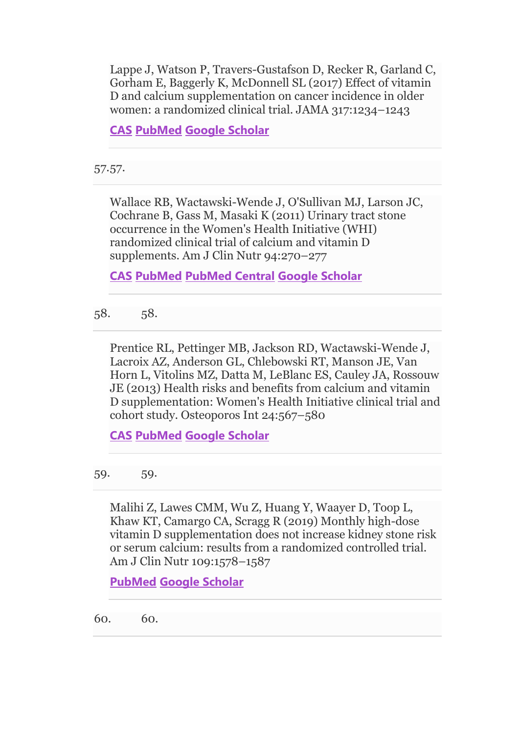Lappe J, Watson P, Travers-Gustafson D, Recker R, Garland C, Gorham E, Baggerly K, McDonnell SL (2017) Effect of vitamin D and calcium supplementation on cancer incidence in older women: a randomized clinical trial. JAMA 317:1234–1243

**[CAS](https://link.springer.com/articles/cas-redirect/1%3ACAS%3A528%3ADC%252BC2sXhtlyktLrJ) [PubMed](http://www.ncbi.nlm.nih.gov/entrez/query.fcgi?cmd=Retrieve&db=PubMed&dopt=Abstract&list_uids=28350929) [Google Scholar](http://scholar.google.com/scholar_lookup?&title=Effect%20of%20vitamin%20D%20and%20calcium%20supplementation%20on%20cancer%20incidence%20in%20older%20women%3A%20a%20randomized%20clinical%20trial&journal=JAMA&volume=317&pages=1234-1243&publication_year=2017&author=Lappe%2CJ&author=Watson%2CP&author=Travers-Gustafson%2CD&author=Recker%2CR&author=Garland%2CC&author=Gorham%2CE&author=Baggerly%2CK&author=McDonnell%2CSL)**

57.57.

Wallace RB, Wactawski-Wende J, O'Sullivan MJ, Larson JC, Cochrane B, Gass M, Masaki K (2011) Urinary tract stone occurrence in the Women's Health Initiative (WHI) randomized clinical trial of calcium and vitamin D supplements. Am J Clin Nutr 94:270–277

**[CAS](https://link.springer.com/articles/cas-redirect/1%3ACAS%3A528%3ADC%252BC3MXot1Khtbs%253D) [PubMed](http://www.ncbi.nlm.nih.gov/entrez/query.fcgi?cmd=Retrieve&db=PubMed&dopt=Abstract&list_uids=21525191) [PubMed Central](http://www.ncbi.nlm.nih.gov/pmc/articles/PMC3127502) [Google Scholar](http://scholar.google.com/scholar_lookup?&title=Urinary%20tract%20stone%20occurrence%20in%20the%20Women%27s%20Health%20Initiative%20%28WHI%29%20randomized%20clinical%20trial%20of%20calcium%20and%20vitamin%20D%20supplements&journal=Am%20J%20Clin%20Nutr&volume=94&pages=270-277&publication_year=2011&author=Wallace%2CRB&author=Wactawski-Wende%2CJ&author=O%27Sullivan%2CMJ&author=Larson%2CJC&author=Cochrane%2CB&author=Gass%2CM&author=Masaki%2CK)**

58. 58.

Prentice RL, Pettinger MB, Jackson RD, Wactawski-Wende J, Lacroix AZ, Anderson GL, Chlebowski RT, Manson JE, Van Horn L, Vitolins MZ, Datta M, LeBlanc ES, Cauley JA, Rossouw JE (2013) Health risks and benefits from calcium and vitamin D supplementation: Women's Health Initiative clinical trial and cohort study. Osteoporos Int 24:567–580

**[CAS](https://link.springer.com/articles/cas-redirect/1%3ACAS%3A528%3ADC%252BC3sXhvVyqsL4%253D) [PubMed](http://www.ncbi.nlm.nih.gov/entrez/query.fcgi?cmd=Retrieve&db=PubMed&dopt=Abstract&list_uids=23208074) [Google Scholar](http://scholar.google.com/scholar_lookup?&title=Health%20risks%20and%20benefits%20from%20calcium%20and%20vitamin%20D%20supplementation%3A%20Women%27s%20Health%20Initiative%20clinical%20trial%20and%20cohort%20study&journal=Osteoporos%20Int&volume=24&pages=567-580&publication_year=2013&author=Prentice%2CRL&author=Pettinger%2CMB&author=Jackson%2CRD&author=Wactawski-Wende%2CJ&author=Lacroix%2CAZ&author=Anderson%2CGL&author=Chlebowski%2CRT&author=Manson%2CJE&author=Horn%2CL&author=Vitolins%2CMZ&author=Datta%2CM&author=LeBlanc%2CES&author=Cauley%2CJA&author=Rossouw%2CJE)**

59. 59.

Malihi Z, Lawes CMM, Wu Z, Huang Y, Waayer D, Toop L, Khaw KT, Camargo CA, Scragg R (2019) Monthly high-dose vitamin D supplementation does not increase kidney stone risk or serum calcium: results from a randomized controlled trial. Am J Clin Nutr 109:1578–1587

**[PubMed](http://www.ncbi.nlm.nih.gov/entrez/query.fcgi?cmd=Retrieve&db=PubMed&dopt=Abstract&list_uids=31005969) [Google Scholar](http://scholar.google.com/scholar_lookup?&title=Monthly%20high-dose%20vitamin%20D%20supplementation%20does%20not%20increase%20kidney%20stone%20risk%20or%20serum%20calcium%3A%20results%20from%20a%20randomized%20controlled%20trial&journal=Am%20J%20Clin%20Nutr&volume=109&pages=1578-1587&publication_year=2019&author=Malihi%2CZ&author=Lawes%2CCMM&author=Wu%2CZ&author=Huang%2CY&author=Waayer%2CD&author=Toop%2CL&author=Khaw%2CKT&author=Camargo%2CCA&author=Scragg%2CR)**

60. 60.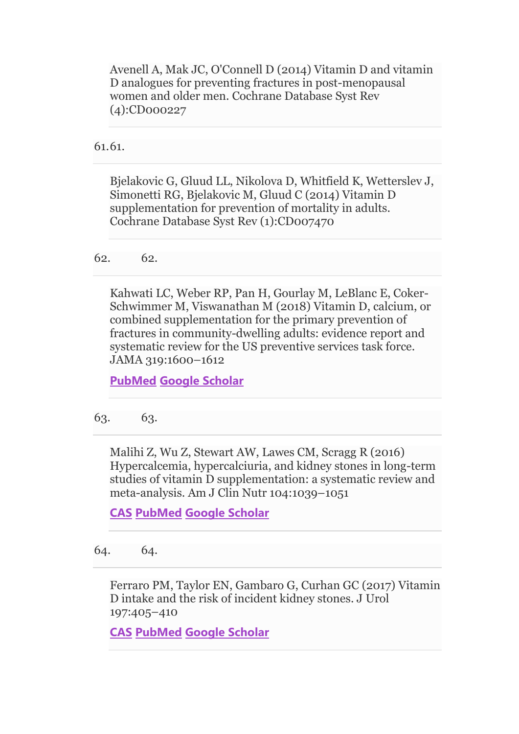Avenell A, Mak JC, O'Connell D (2014) Vitamin D and vitamin D analogues for preventing fractures in post-menopausal women and older men. Cochrane Database Syst Rev (4):CD000227

61.61.

Bjelakovic G, Gluud LL, Nikolova D, Whitfield K, Wetterslev J, Simonetti RG, Bjelakovic M, Gluud C (2014) Vitamin D supplementation for prevention of mortality in adults. Cochrane Database Syst Rev (1):CD007470

62. 62.

Kahwati LC, Weber RP, Pan H, Gourlay M, LeBlanc E, Coker-Schwimmer M, Viswanathan M (2018) Vitamin D, calcium, or combined supplementation for the primary prevention of fractures in community-dwelling adults: evidence report and systematic review for the US preventive services task force. JAMA 319:1600–1612

**[PubMed](http://www.ncbi.nlm.nih.gov/entrez/query.fcgi?cmd=Retrieve&db=PubMed&dopt=Abstract&list_uids=29677308) [Google Scholar](http://scholar.google.com/scholar_lookup?&title=Vitamin%20D%2C%20calcium%2C%20or%20combined%20supplementation%20for%20the%20primary%20prevention%20of%20fractures%20in%20community-dwelling%20adults%3A%20evidence%20report%20and%20systematic%20review%20for%20the%20US%20preventive%20services%20task%20force&journal=JAMA&volume=319&pages=1600-1612&publication_year=2018&author=Kahwati%2CLC&author=Weber%2CRP&author=Pan%2CH&author=Gourlay%2CM&author=LeBlanc%2CE&author=Coker-Schwimmer%2CM&author=Viswanathan%2CM)**

63. 63.

Malihi Z, Wu Z, Stewart AW, Lawes CM, Scragg R (2016) Hypercalcemia, hypercalciuria, and kidney stones in long-term studies of vitamin D supplementation: a systematic review and meta-analysis. Am J Clin Nutr 104:1039–1051

**[CAS](https://link.springer.com/articles/cas-redirect/1%3ACAS%3A528%3ADC%252BC2sXhtlKgsLo%253D) [PubMed](http://www.ncbi.nlm.nih.gov/entrez/query.fcgi?cmd=Retrieve&db=PubMed&dopt=Abstract&list_uids=27604776) [Google Scholar](http://scholar.google.com/scholar_lookup?&title=Hypercalcemia%2C%20hypercalciuria%2C%20and%20kidney%20stones%20in%20long-term%20studies%20of%20vitamin%20D%20supplementation%3A%20a%20systematic%20review%20and%20meta-analysis&journal=Am%20J%20Clin%20Nutr&volume=104&pages=1039-1051&publication_year=2016&author=Malihi%2CZ&author=Wu%2CZ&author=Stewart%2CAW&author=Lawes%2CCM&author=Scragg%2CR)**

64. 64.

Ferraro PM, Taylor EN, Gambaro G, Curhan GC (2017) Vitamin D intake and the risk of incident kidney stones. J Urol 197:405–410

**[CAS](https://link.springer.com/articles/cas-redirect/1%3ACAS%3A528%3ADC%252BC28XhslKnt7rN) [PubMed](http://www.ncbi.nlm.nih.gov/entrez/query.fcgi?cmd=Retrieve&db=PubMed&dopt=Abstract&list_uids=27545576) [Google Scholar](http://scholar.google.com/scholar_lookup?&title=Vitamin%20D%20intake%20and%20the%20risk%20of%20incident%20kidney%20stones&journal=J%20Urol&volume=197&pages=405-410&publication_year=2017&author=Ferraro%2CPM&author=Taylor%2CEN&author=Gambaro%2CG&author=Curhan%2CGC)**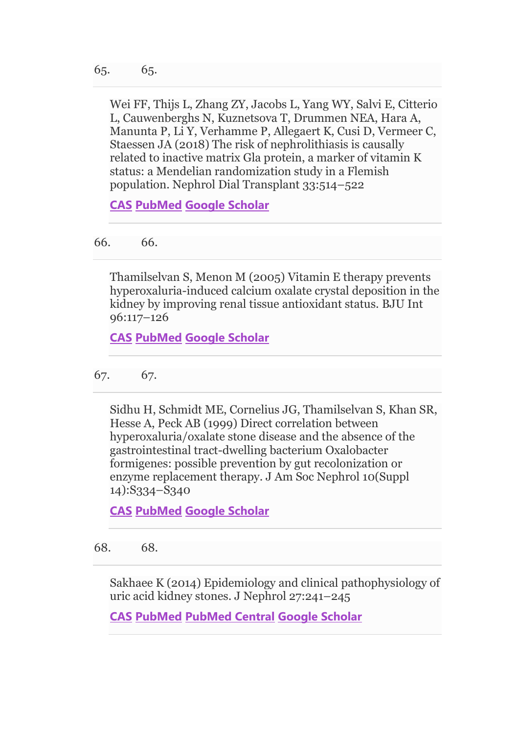Wei FF, Thijs L, Zhang ZY, Jacobs L, Yang WY, Salvi E, Citterio L, Cauwenberghs N, Kuznetsova T, Drummen NEA, Hara A, Manunta P, Li Y, Verhamme P, Allegaert K, Cusi D, Vermeer C, Staessen JA (2018) The risk of nephrolithiasis is causally related to inactive matrix Gla protein, a marker of vitamin K status: a Mendelian randomization study in a Flemish population. Nephrol Dial Transplant 33:514–522

**[CAS](https://link.springer.com/articles/cas-redirect/1%3ACAS%3A528%3ADC%252BC1MXps1Ohu7w%253D) [PubMed](http://www.ncbi.nlm.nih.gov/entrez/query.fcgi?cmd=Retrieve&db=PubMed&dopt=Abstract&list_uids=28340119) [Google Scholar](http://scholar.google.com/scholar_lookup?&title=The%20risk%20of%20nephrolithiasis%20is%20causally%20related%20to%20inactive%20matrix%20Gla%20protein%2C%20a%20marker%20of%20vitamin%20K%20status%3A%20a%20Mendelian%20randomization%20study%20in%20a%20Flemish%20population&journal=Nephrol%20Dial%20Transplant&volume=33&pages=514-522&publication_year=2018&author=Wei%2CFF&author=Thijs%2CL&author=Zhang%2CZY&author=Jacobs%2CL&author=Yang%2CWY&author=Salvi%2CE&author=Citterio%2CL&author=Cauwenberghs%2CN&author=Kuznetsova%2CT&author=Drummen%2CNEA&author=Hara%2CA&author=Manunta%2CP&author=Li%2CY&author=Verhamme%2CP&author=Allegaert%2CK&author=Cusi%2CD&author=Vermeer%2CC&author=Staessen%2CJA)**

66. 66.

Thamilselvan S, Menon M (2005) Vitamin E therapy prevents hyperoxaluria-induced calcium oxalate crystal deposition in the kidney by improving renal tissue antioxidant status. BJU Int 96:117–126

**[CAS](https://link.springer.com/articles/cas-redirect/1%3ACAS%3A528%3ADC%252BD2MXmvF2ks7c%253D) [PubMed](http://www.ncbi.nlm.nih.gov/entrez/query.fcgi?cmd=Retrieve&db=PubMed&dopt=Abstract&list_uids=15963133) [Google Scholar](http://scholar.google.com/scholar_lookup?&title=Vitamin%20E%20therapy%20prevents%20hyperoxaluria-induced%20calcium%20oxalate%20crystal%20deposition%20in%20the%20kidney%20by%20improving%20renal%20tissue%20antioxidant%20status&journal=BJU%20Int&volume=96&pages=117-126&publication_year=2005&author=Thamilselvan%2CS&author=Menon%2CM)**

67. 67.

Sidhu H, Schmidt ME, Cornelius JG, Thamilselvan S, Khan SR, Hesse A, Peck AB (1999) Direct correlation between hyperoxaluria/oxalate stone disease and the absence of the gastrointestinal tract-dwelling bacterium Oxalobacter formigenes: possible prevention by gut recolonization or enzyme replacement therapy. J Am Soc Nephrol 10(Suppl 14):S334–S340

**[CAS](https://link.springer.com/articles/cas-redirect/1%3ACAS%3A528%3ADyaK1MXnsVehurc%253D) [PubMed](http://www.ncbi.nlm.nih.gov/entrez/query.fcgi?cmd=Retrieve&db=PubMed&dopt=Abstract&list_uids=10541258) [Google Scholar](http://scholar.google.com/scholar_lookup?&title=Direct%20correlation%20between%20hyperoxaluria%2Foxalate%20stone%20disease%20and%20the%20absence%20of%20the%20gastrointestinal%20tract-dwelling%20bacterium%20Oxalobacter%20formigenes%3A%20possible%20prevention%20by%20gut%20recolonization%20or%20enzyme%20replacement%20therapy&journal=J%20Am%20Soc%20Nephrol&volume=10&issue=Suppl%2014&pages=S334-S340&publication_year=1999&author=Sidhu%2CH&author=Schmidt%2CME&author=Cornelius%2CJG&author=Thamilselvan%2CS&author=Khan%2CSR&author=Hesse%2CA&author=Peck%2CAB)**

68. 68.

Sakhaee K (2014) Epidemiology and clinical pathophysiology of uric acid kidney stones. J Nephrol 27:241–245

**[CAS](https://link.springer.com/articles/cas-redirect/1%3ACAS%3A528%3ADC%252BC28Xhs1yksbc%253D) [PubMed](http://www.ncbi.nlm.nih.gov/entrez/query.fcgi?cmd=Retrieve&db=PubMed&dopt=Abstract&list_uids=24497296) [PubMed Central](http://www.ncbi.nlm.nih.gov/pmc/articles/PMC4696481) [Google Scholar](http://scholar.google.com/scholar_lookup?&title=Epidemiology%20and%20clinical%20pathophysiology%20of%20uric%20acid%20kidney%20stones&journal=J%20Nephrol&volume=27&pages=241-245&publication_year=2014&author=Sakhaee%2CK)**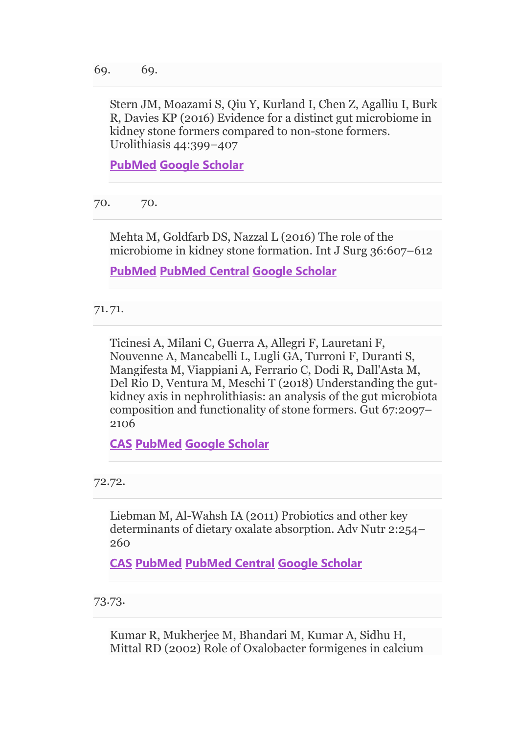Stern JM, Moazami S, Qiu Y, Kurland I, Chen Z, Agalliu I, Burk R, Davies KP (2016) Evidence for a distinct gut microbiome in kidney stone formers compared to non-stone formers. Urolithiasis 44:399–407

**[PubMed](http://www.ncbi.nlm.nih.gov/entrez/query.fcgi?cmd=Retrieve&db=PubMed&dopt=Abstract&list_uids=27115405) [Google Scholar](http://scholar.google.com/scholar_lookup?&title=Evidence%20for%20a%20distinct%20gut%20microbiome%20in%20kidney%20stone%20formers%20compared%20to%20non-stone%20formers&journal=Urolithiasis&volume=44&pages=399-407&publication_year=2016&author=Stern%2CJM&author=Moazami%2CS&author=Qiu%2CY&author=Kurland%2CI&author=Chen%2CZ&author=Agalliu%2CI&author=Burk%2CR&author=Davies%2CKP)**

70. 70.

Mehta M, Goldfarb DS, Nazzal L (2016) The role of the microbiome in kidney stone formation. Int J Surg 36:607–612

**[PubMed](http://www.ncbi.nlm.nih.gov/entrez/query.fcgi?cmd=Retrieve&db=PubMed&dopt=Abstract&list_uids=27847292) [PubMed Central](http://www.ncbi.nlm.nih.gov/pmc/articles/PMC5764756) [Google Scholar](http://scholar.google.com/scholar_lookup?&title=The%20role%20of%20the%20microbiome%20in%20kidney%20stone%20formation&journal=Int%20J%20Surg&volume=36&pages=607-612&publication_year=2016&author=Mehta%2CM&author=Goldfarb%2CDS&author=Nazzal%2CL)**

71.71.

Ticinesi A, Milani C, Guerra A, Allegri F, Lauretani F, Nouvenne A, Mancabelli L, Lugli GA, Turroni F, Duranti S, Mangifesta M, Viappiani A, Ferrario C, Dodi R, Dall'Asta M, Del Rio D, Ventura M, Meschi T (2018) Understanding the gutkidney axis in nephrolithiasis: an analysis of the gut microbiota composition and functionality of stone formers. Gut 67:2097– 2106

**[CAS](https://link.springer.com/articles/cas-redirect/1%3ACAS%3A528%3ADC%252BC1MXktVGktLk%253D) [PubMed](http://www.ncbi.nlm.nih.gov/entrez/query.fcgi?cmd=Retrieve&db=PubMed&dopt=Abstract&list_uids=29705728) [Google Scholar](http://scholar.google.com/scholar_lookup?&title=Understanding%20the%20gut-kidney%20axis%20in%20nephrolithiasis%3A%20an%20analysis%20of%20the%20gut%20microbiota%20composition%20and%20functionality%20of%20stone%20formers&journal=Gut&volume=67&pages=2097-2106&publication_year=2018&author=Ticinesi%2CA&author=Milani%2CC&author=Guerra%2CA&author=Allegri%2CF&author=Lauretani%2CF&author=Nouvenne%2CA&author=Mancabelli%2CL&author=Lugli%2CGA&author=Turroni%2CF&author=Duranti%2CS&author=Mangifesta%2CM&author=Viappiani%2CA&author=Ferrario%2CC&author=Dodi%2CR&author=Dall%27Asta%2CM&author=Rio%2CD&author=Ventura%2CM&author=Meschi%2CT)**

72.72.

Liebman M, Al-Wahsh IA (2011) Probiotics and other key determinants of dietary oxalate absorption. Adv Nutr 2:254– 260

**[CAS](https://link.springer.com/articles/cas-redirect/1%3ACAS%3A528%3ADC%252BC3MXpsF2ksr0%253D) [PubMed](http://www.ncbi.nlm.nih.gov/entrez/query.fcgi?cmd=Retrieve&db=PubMed&dopt=Abstract&list_uids=22332057) [PubMed Central](http://www.ncbi.nlm.nih.gov/pmc/articles/PMC3090165) [Google Scholar](http://scholar.google.com/scholar_lookup?&title=Probiotics%20and%20other%20key%20determinants%20of%20dietary%20oxalate%20absorption&journal=Adv%20Nutr&volume=2&pages=254-260&publication_year=2011&author=Liebman%2CM&author=Al-Wahsh%2CIA)**

73.73.

Kumar R, Mukherjee M, Bhandari M, Kumar A, Sidhu H, Mittal RD (2002) Role of Oxalobacter formigenes in calcium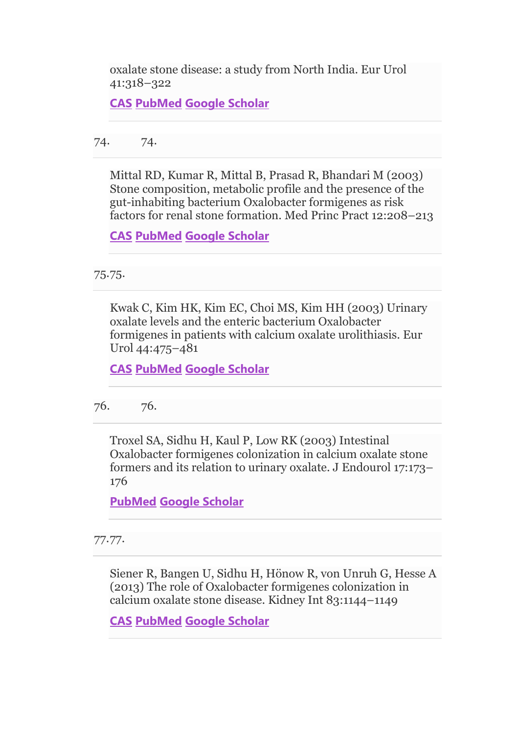oxalate stone disease: a study from North India. Eur Urol 41:318–322

**[CAS](https://link.springer.com/articles/cas-redirect/1%3ACAS%3A528%3ADC%252BD38XlvFOmt7g%253D) [PubMed](http://www.ncbi.nlm.nih.gov/entrez/query.fcgi?cmd=Retrieve&db=PubMed&dopt=Abstract&list_uids=12180235) [Google Scholar](http://scholar.google.com/scholar_lookup?&title=Role%20of%20Oxalobacter%20formigenes%20in%20calcium%20oxalate%20stone%20disease%3A%20a%20study%20from%20North%20India&journal=Eur%20Urol&volume=41&pages=318-322&publication_year=2002&author=Kumar%2CR&author=Mukherjee%2CM&author=Bhandari%2CM&author=Kumar%2CA&author=Sidhu%2CH&author=Mittal%2CRD)**

74. 74.

Mittal RD, Kumar R, Mittal B, Prasad R, Bhandari M (2003) Stone composition, metabolic profile and the presence of the gut-inhabiting bacterium Oxalobacter formigenes as risk factors for renal stone formation. Med Princ Pract 12:208–213

**[CAS](https://link.springer.com/articles/cas-redirect/1%3ASTN%3A280%3ADC%252BD3svisF2isA%253D%253D) [PubMed](http://www.ncbi.nlm.nih.gov/entrez/query.fcgi?cmd=Retrieve&db=PubMed&dopt=Abstract&list_uids=12966191) [Google Scholar](http://scholar.google.com/scholar_lookup?&title=Stone%20composition%2C%20metabolic%20profile%20and%20the%20presence%20of%20the%20gut-inhabiting%20bacterium%20Oxalobacter%20formigenes%20as%20risk%20factors%20for%20renal%20stone%20formation&journal=Med%20Princ%20Pract&volume=12&pages=208-213&publication_year=2003&author=Mittal%2CRD&author=Kumar%2CR&author=Mittal%2CB&author=Prasad%2CR&author=Bhandari%2CM)**

75.75.

Kwak C, Kim HK, Kim EC, Choi MS, Kim HH (2003) Urinary oxalate levels and the enteric bacterium Oxalobacter formigenes in patients with calcium oxalate urolithiasis. Eur Urol 44:475–481

**[CAS](https://link.springer.com/articles/cas-redirect/1%3ACAS%3A528%3ADC%252BD3sXpt1ejtLY%253D) [PubMed](http://www.ncbi.nlm.nih.gov/entrez/query.fcgi?cmd=Retrieve&db=PubMed&dopt=Abstract&list_uids=14499684) [Google Scholar](http://scholar.google.com/scholar_lookup?&title=Urinary%20oxalate%20levels%20and%20the%20enteric%20bacterium%20Oxalobacter%20formigenes%20in%20patients%20with%20calcium%20oxalate%20urolithiasis&journal=Eur%20Urol&volume=44&pages=475-481&publication_year=2003&author=Kwak%2CC&author=Kim%2CHK&author=Kim%2CEC&author=Choi%2CMS&author=Kim%2CHH)**

76. 76.

Troxel SA, Sidhu H, Kaul P, Low RK (2003) Intestinal Oxalobacter formigenes colonization in calcium oxalate stone formers and its relation to urinary oxalate. J Endourol 17:173– 176

**[PubMed](http://www.ncbi.nlm.nih.gov/entrez/query.fcgi?cmd=Retrieve&db=PubMed&dopt=Abstract&list_uids=12803990) [Google Scholar](http://scholar.google.com/scholar_lookup?&title=Intestinal%20Oxalobacter%20formigenes%20colonization%20in%20calcium%20oxalate%20stone%20formers%20and%20its%20relation%20to%20urinary%20oxalate&journal=J%20Endourol&volume=17&pages=173-176&publication_year=2003&author=Troxel%2CSA&author=Sidhu%2CH&author=Kaul%2CP&author=Low%2CRK)**

77.77.

Siener R, Bangen U, Sidhu H, Hönow R, von Unruh G, Hesse A (2013) The role of Oxalobacter formigenes colonization in calcium oxalate stone disease. Kidney Int 83:1144–1149

**[CAS](https://link.springer.com/articles/cas-redirect/1%3ACAS%3A528%3ADC%252BC3sXos1ymt7c%253D) [PubMed](http://www.ncbi.nlm.nih.gov/entrez/query.fcgi?cmd=Retrieve&db=PubMed&dopt=Abstract&list_uids=23536130) [Google Scholar](http://scholar.google.com/scholar_lookup?&title=The%20role%20of%20Oxalobacter%20formigenes%20colonization%20in%20calcium%20oxalate%20stone%20disease&journal=Kidney%20Int&volume=83&pages=1144-1149&publication_year=2013&author=Siener%2CR&author=Bangen%2CU&author=Sidhu%2CH&author=H%C3%B6now%2CR&author=Unruh%2CG&author=Hesse%2CA)**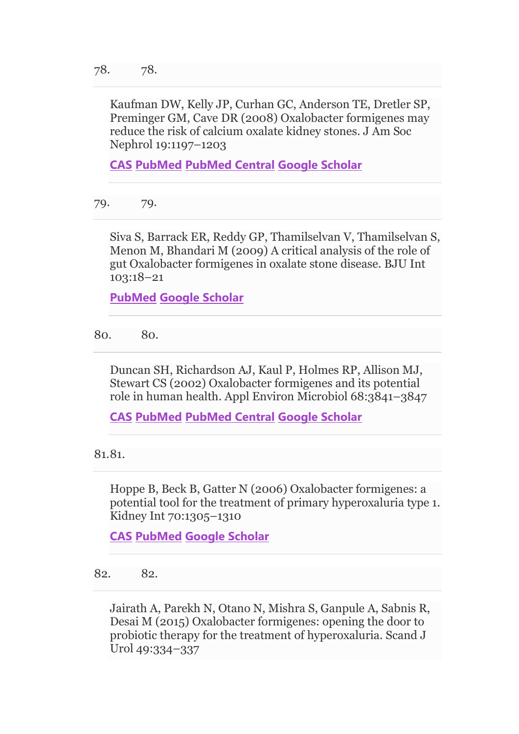Kaufman DW, Kelly JP, Curhan GC, Anderson TE, Dretler SP, Preminger GM, Cave DR (2008) Oxalobacter formigenes may reduce the risk of calcium oxalate kidney stones. J Am Soc Nephrol 19:1197–1203

**[CAS](https://link.springer.com/articles/cas-redirect/1%3ACAS%3A528%3ADC%252BD1cXns1yiurc%253D) [PubMed](http://www.ncbi.nlm.nih.gov/entrez/query.fcgi?cmd=Retrieve&db=PubMed&dopt=Abstract&list_uids=18322162) [PubMed Central](http://www.ncbi.nlm.nih.gov/pmc/articles/PMC2396938) [Google Scholar](http://scholar.google.com/scholar_lookup?&title=Oxalobacter%20formigenes%20may%20reduce%20the%20risk%20of%20calcium%20oxalate%20kidney%20stones&journal=J%20Am%20Soc%20Nephrol&volume=19&pages=1197-1203&publication_year=2008&author=Kaufman%2CDW&author=Kelly%2CJP&author=Curhan%2CGC&author=Anderson%2CTE&author=Dretler%2CSP&author=Preminger%2CGM&author=Cave%2CDR)**

79. 79.

Siva S, Barrack ER, Reddy GP, Thamilselvan V, Thamilselvan S, Menon M, Bhandari M (2009) A critical analysis of the role of gut Oxalobacter formigenes in oxalate stone disease. BJU Int 103:18–21

**[PubMed](http://www.ncbi.nlm.nih.gov/entrez/query.fcgi?cmd=Retrieve&db=PubMed&dopt=Abstract&list_uids=19021605) [Google Scholar](http://scholar.google.com/scholar_lookup?&title=A%20critical%20analysis%20of%20the%20role%20of%20gut%20Oxalobacter%20formigenes%20in%20oxalate%20stone%20disease&journal=BJU%20Int&volume=103&pages=18-21&publication_year=2009&author=Siva%2CS&author=Barrack%2CER&author=Reddy%2CGP&author=Thamilselvan%2CV&author=Thamilselvan%2CS&author=Menon%2CM&author=Bhandari%2CM)**

80. 80.

Duncan SH, Richardson AJ, Kaul P, Holmes RP, Allison MJ, Stewart CS (2002) Oxalobacter formigenes and its potential role in human health. Appl Environ Microbiol 68:3841–3847

**[CAS](https://link.springer.com/articles/cas-redirect/1%3ACAS%3A528%3ADC%252BD38XmtVaqurY%253D) [PubMed](http://www.ncbi.nlm.nih.gov/entrez/query.fcgi?cmd=Retrieve&db=PubMed&dopt=Abstract&list_uids=12147479) [PubMed Central](http://www.ncbi.nlm.nih.gov/pmc/articles/PMC124017) [Google Scholar](http://scholar.google.com/scholar_lookup?&title=Oxalobacter%20formigenes%20and%20its%20potential%20role%20in%20human%20health&journal=Appl%20Environ%20Microbiol&volume=68&pages=3841-3847&publication_year=2002&author=Duncan%2CSH&author=Richardson%2CAJ&author=Kaul%2CP&author=Holmes%2CRP&author=Allison%2CMJ&author=Stewart%2CCS)**

81.81.

Hoppe B, Beck B, Gatter N (2006) Oxalobacter formigenes: a potential tool for the treatment of primary hyperoxaluria type 1. Kidney Int 70:1305–1310

**[CAS](https://link.springer.com/articles/cas-redirect/1%3ACAS%3A528%3ADC%252BD28Xpsl2qsb8%253D) [PubMed](http://www.ncbi.nlm.nih.gov/entrez/query.fcgi?cmd=Retrieve&db=PubMed&dopt=Abstract&list_uids=16850020) [Google Scholar](http://scholar.google.com/scholar_lookup?&title=Oxalobacter%20formigenes%3A%20a%20potential%20tool%20for%20the%20treatment%20of%20primary%20hyperoxaluria%20type%201&journal=Kidney%20Int&volume=70&pages=1305-1310&publication_year=2006&author=Hoppe%2CB&author=Beck%2CB&author=Gatter%2CN)**

82. 82.

Jairath A, Parekh N, Otano N, Mishra S, Ganpule A, Sabnis R, Desai M (2015) Oxalobacter formigenes: opening the door to probiotic therapy for the treatment of hyperoxaluria. Scand J Urol 49:334–337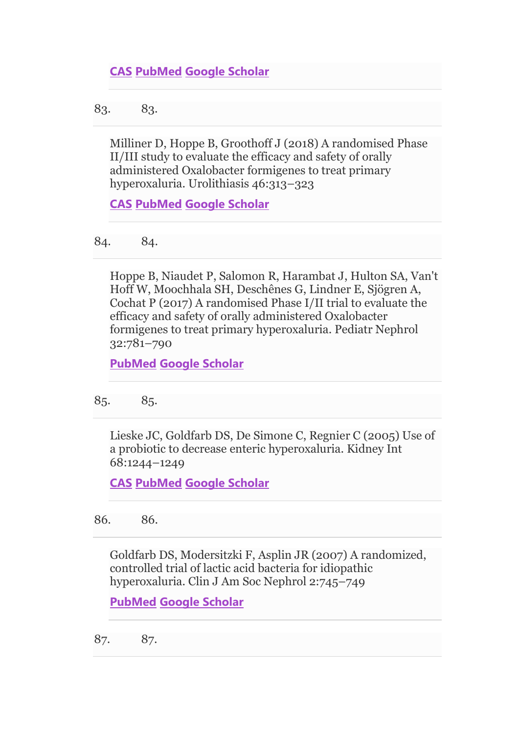83. 83.

Milliner D, Hoppe B, Groothoff J (2018) A randomised Phase II/III study to evaluate the efficacy and safety of orally administered Oxalobacter formigenes to treat primary hyperoxaluria. Urolithiasis 46:313–323

**[CAS](https://link.springer.com/articles/cas-redirect/1%3ACAS%3A528%3ADC%252BC2sXhtFygurvL) [PubMed](http://www.ncbi.nlm.nih.gov/entrez/query.fcgi?cmd=Retrieve&db=PubMed&dopt=Abstract&list_uids=28718073) [Google Scholar](http://scholar.google.com/scholar_lookup?&title=A%20randomised%20Phase%20II%2FIII%20study%20to%20evaluate%20the%20efficacy%20and%20safety%20of%20orally%20administered%20Oxalobacter%20formigenes%20to%20treat%20primary%20hyperoxaluria&journal=Urolithiasis&volume=46&pages=313-323&publication_year=2018&author=Milliner%2CD&author=Hoppe%2CB&author=Groothoff%2CJ)**

84. 84.

Hoppe B, Niaudet P, Salomon R, Harambat J, Hulton SA, Van't Hoff W, Moochhala SH, Deschênes G, Lindner E, Sjögren A, Cochat P (2017) A randomised Phase I/II trial to evaluate the efficacy and safety of orally administered Oxalobacter formigenes to treat primary hyperoxaluria. Pediatr Nephrol 32:781–790

**[PubMed](http://www.ncbi.nlm.nih.gov/entrez/query.fcgi?cmd=Retrieve&db=PubMed&dopt=Abstract&list_uids=27924398) [Google Scholar](http://scholar.google.com/scholar_lookup?&title=A%20randomised%20Phase%20I%2FII%20trial%20to%20evaluate%20the%20efficacy%20and%20safety%20of%20orally%20administered%20Oxalobacter%20formigenes%20to%20treat%20primary%20hyperoxaluria&journal=Pediatr%20Nephrol&volume=32&pages=781-790&publication_year=2017&author=Hoppe%2CB&author=Niaudet%2CP&author=Salomon%2CR&author=Harambat%2CJ&author=Hulton%2CSA&author=Van%27t%20Hoff%2CW&author=Moochhala%2CSH&author=Desch%C3%AAnes%2CG&author=Lindner%2CE&author=Sj%C3%B6gren%2CA&author=Cochat%2CP)**

85. 85.

Lieske JC, Goldfarb DS, De Simone C, Regnier C (2005) Use of a probiotic to decrease enteric hyperoxaluria. Kidney Int 68:1244–1249

**[CAS](https://link.springer.com/articles/cas-redirect/1%3ACAS%3A528%3ADC%252BD2MXhtVCjt7rP) [PubMed](http://www.ncbi.nlm.nih.gov/entrez/query.fcgi?cmd=Retrieve&db=PubMed&dopt=Abstract&list_uids=16105057) [Google Scholar](http://scholar.google.com/scholar_lookup?&title=Use%20of%20a%20probiotic%20to%20decrease%20enteric%20hyperoxaluria&journal=Kidney%20Int&volume=68&pages=1244-1249&publication_year=2005&author=Lieske%2CJC&author=Goldfarb%2CDS&author=Simone%2CC&author=Regnier%2CC)**

86. 86.

Goldfarb DS, Modersitzki F, Asplin JR (2007) A randomized, controlled trial of lactic acid bacteria for idiopathic hyperoxaluria. Clin J Am Soc Nephrol 2:745–749

**[PubMed](http://www.ncbi.nlm.nih.gov/entrez/query.fcgi?cmd=Retrieve&db=PubMed&dopt=Abstract&list_uids=17699491) [Google Scholar](http://scholar.google.com/scholar_lookup?&title=A%20randomized%2C%20controlled%20trial%20of%20lactic%20acid%20bacteria%20for%20idiopathic%20hyperoxaluria&journal=Clin%20J%20Am%20Soc%20Nephrol&volume=2&pages=745-749&publication_year=2007&author=Goldfarb%2CDS&author=Modersitzki%2CF&author=Asplin%2CJR)**

87. 87.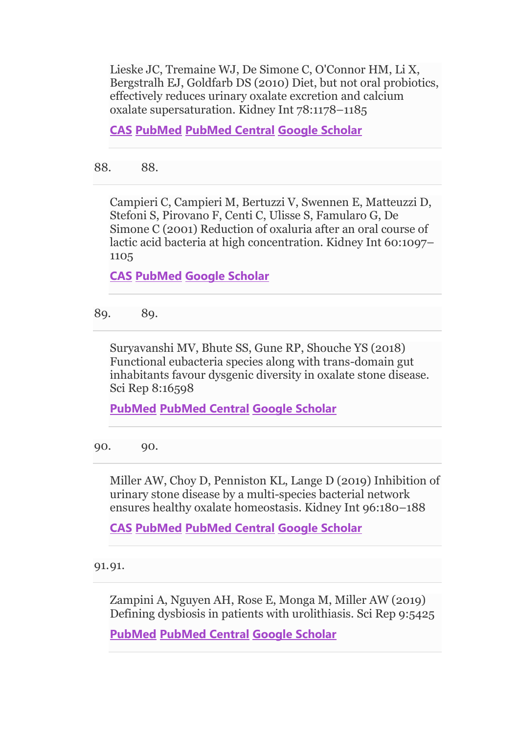Lieske JC, Tremaine WJ, De Simone C, O'Connor HM, Li X, Bergstralh EJ, Goldfarb DS (2010) Diet, but not oral probiotics, effectively reduces urinary oxalate excretion and calcium oxalate supersaturation. Kidney Int 78:1178–1185

**[CAS](https://link.springer.com/articles/cas-redirect/1%3ACAS%3A528%3ADC%252BC3cXhsVWmsrbN) [PubMed](http://www.ncbi.nlm.nih.gov/entrez/query.fcgi?cmd=Retrieve&db=PubMed&dopt=Abstract&list_uids=20736987) [PubMed Central](http://www.ncbi.nlm.nih.gov/pmc/articles/PMC3923490) [Google Scholar](http://scholar.google.com/scholar_lookup?&title=Diet%2C%20but%20not%20oral%20probiotics%2C%20effectively%20reduces%20urinary%20oxalate%20excretion%20and%20calcium%20oxalate%20supersaturation&journal=Kidney%20Int&volume=78&pages=1178-1185&publication_year=2010&author=Lieske%2CJC&author=Tremaine%2CWJ&author=Simone%2CC&author=O%27Connor%2CHM&author=Li%2CX&author=Bergstralh%2CEJ&author=Goldfarb%2CDS)**

88. 88.

Campieri C, Campieri M, Bertuzzi V, Swennen E, Matteuzzi D, Stefoni S, Pirovano F, Centi C, Ulisse S, Famularo G, De Simone C (2001) Reduction of oxaluria after an oral course of lactic acid bacteria at high concentration. Kidney Int 60:1097– 1105

**[CAS](https://link.springer.com/articles/cas-redirect/1%3ACAS%3A528%3ADC%252BD3MXmvFKjtbw%253D) [PubMed](http://www.ncbi.nlm.nih.gov/entrez/query.fcgi?cmd=Retrieve&db=PubMed&dopt=Abstract&list_uids=11532105) [Google Scholar](http://scholar.google.com/scholar_lookup?&title=Reduction%20of%20oxaluria%20after%20an%20oral%20course%20of%20lactic%20acid%20bacteria%20at%20high%20concentration&journal=Kidney%20Int&volume=60&pages=1097-1105&publication_year=2001&author=Campieri%2CC&author=Campieri%2CM&author=Bertuzzi%2CV&author=Swennen%2CE&author=Matteuzzi%2CD&author=Stefoni%2CS&author=Pirovano%2CF&author=Centi%2CC&author=Ulisse%2CS&author=Famularo%2CG&author=Simone%2CC)**

89. 89.

Suryavanshi MV, Bhute SS, Gune RP, Shouche YS (2018) Functional eubacteria species along with trans-domain gut inhabitants favour dysgenic diversity in oxalate stone disease. Sci Rep 8:16598

**[PubMed](http://www.ncbi.nlm.nih.gov/entrez/query.fcgi?cmd=Retrieve&db=PubMed&dopt=Abstract&list_uids=30413731) [PubMed Central](http://www.ncbi.nlm.nih.gov/pmc/articles/PMC6226508) [Google Scholar](http://scholar.google.com/scholar_lookup?&title=Functional%20eubacteria%20species%20along%20with%20trans-domain%20gut%20inhabitants%20favour%20dysgenic%20diversity%20in%20oxalate%20stone%20disease&journal=Sci%20Rep&volume=8&publication_year=2018&author=Suryavanshi%2CMV&author=Bhute%2CSS&author=Gune%2CRP&author=Shouche%2CYS)**

90. 90.

Miller AW, Choy D, Penniston KL, Lange D (2019) Inhibition of urinary stone disease by a multi-species bacterial network ensures healthy oxalate homeostasis. Kidney Int 96:180–188

**[CAS](https://link.springer.com/articles/cas-redirect/1%3ACAS%3A528%3ADC%252BC1MXhtVCisrrN) [PubMed](http://www.ncbi.nlm.nih.gov/entrez/query.fcgi?cmd=Retrieve&db=PubMed&dopt=Abstract&list_uids=31130222) [PubMed Central](http://www.ncbi.nlm.nih.gov/pmc/articles/PMC6826259) [Google Scholar](http://scholar.google.com/scholar_lookup?&title=Inhibition%20of%20urinary%20stone%20disease%20by%20a%20multi-species%20bacterial%20network%20ensures%20healthy%20oxalate%20homeostasis&journal=Kidney%20Int&volume=96&pages=180-188&publication_year=2019&author=Miller%2CAW&author=Choy%2CD&author=Penniston%2CKL&author=Lange%2CD)**

91.91.

Zampini A, Nguyen AH, Rose E, Monga M, Miller AW (2019) Defining dysbiosis in patients with urolithiasis. Sci Rep 9:5425

**[PubMed](http://www.ncbi.nlm.nih.gov/entrez/query.fcgi?cmd=Retrieve&db=PubMed&dopt=Abstract&list_uids=30932002) [PubMed Central](http://www.ncbi.nlm.nih.gov/pmc/articles/PMC6443657) [Google Scholar](http://scholar.google.com/scholar_lookup?&title=Defining%20dysbiosis%20in%20patients%20with%20urolithiasis&journal=Sci%20Rep&volume=9&publication_year=2019&author=Zampini%2CA&author=Nguyen%2CAH&author=Rose%2CE&author=Monga%2CM&author=Miller%2CAW)**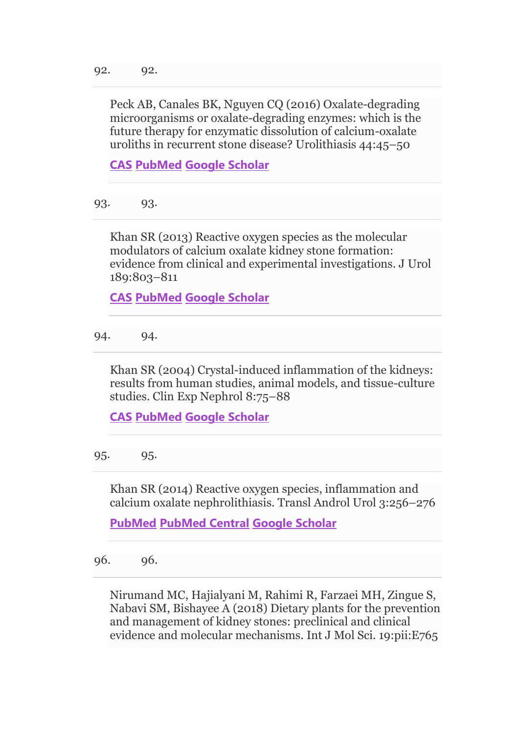Peck AB, Canales BK, Nguyen CQ (2016) Oxalate-degrading microorganisms or oxalate-degrading enzymes: which is the future therapy for enzymatic dissolution of calcium-oxalate uroliths in recurrent stone disease? Urolithiasis 44:45–50

**[CAS](https://link.springer.com/articles/cas-redirect/1%3ACAS%3A528%3ADC%252BC2MXitVagtrbJ) [PubMed](http://www.ncbi.nlm.nih.gov/entrez/query.fcgi?cmd=Retrieve&db=PubMed&dopt=Abstract&list_uids=26645869) [Google Scholar](http://scholar.google.com/scholar_lookup?&title=Oxalate-degrading%20microorganisms%20or%20oxalate-degrading%20enzymes%3A%20which%20is%20the%20future%20therapy%20for%20enzymatic%20dissolution%20of%20calcium-oxalate%20uroliths%20in%20recurrent%20stone%20disease%3F&journal=Urolithiasis&volume=44&pages=45-50&publication_year=2016&author=Peck%2CAB&author=Canales%2CBK&author=Nguyen%2CCQ)**

93. 93.

Khan SR (2013) Reactive oxygen species as the molecular modulators of calcium oxalate kidney stone formation: evidence from clinical and experimental investigations. J Urol 189:803–811

**[CAS](https://link.springer.com/articles/cas-redirect/1%3ACAS%3A528%3ADC%252BC3sXhtFKks7s%253D) [PubMed](http://www.ncbi.nlm.nih.gov/entrez/query.fcgi?cmd=Retrieve&db=PubMed&dopt=Abstract&list_uids=23022011) [Google Scholar](http://scholar.google.com/scholar_lookup?&title=Reactive%20oxygen%20species%20as%20the%20molecular%20modulators%20of%20calcium%20oxalate%20kidney%20stone%20formation%3A%20evidence%20from%20clinical%20and%20experimental%20investigations&journal=J%20Urol&volume=189&pages=803-811&publication_year=2013&author=Khan%2CSR)**

94. 94.

Khan SR (2004) Crystal-induced inflammation of the kidneys: results from human studies, animal models, and tissue-culture studies. Clin Exp Nephrol 8:75–88

**[CAS](https://link.springer.com/articles/cas-redirect/1%3ACAS%3A528%3ADC%252BD2cXlvFSgtbk%253D) [PubMed](http://www.ncbi.nlm.nih.gov/entrez/query.fcgi?cmd=Retrieve&db=PubMed&dopt=Abstract&list_uids=15235923) [Google Scholar](http://scholar.google.com/scholar_lookup?&title=Crystal-induced%20inflammation%20of%20the%20kidneys%3A%20results%20from%20human%20studies%2C%20animal%20models%2C%20and%20tissue-culture%20studies&journal=Clin%20Exp%20Nephrol&volume=8&pages=75-88&publication_year=2004&author=Khan%2CSR)**

95. 95.

Khan SR (2014) Reactive oxygen species, inflammation and calcium oxalate nephrolithiasis. Transl Androl Urol 3:256–276

**[PubMed](http://www.ncbi.nlm.nih.gov/entrez/query.fcgi?cmd=Retrieve&db=PubMed&dopt=Abstract&list_uids=25383321) [PubMed Central](http://www.ncbi.nlm.nih.gov/pmc/articles/PMC4220551) [Google Scholar](http://scholar.google.com/scholar_lookup?&title=Reactive%20oxygen%20species%2C%20inflammation%20and%20calcium%20oxalate%20nephrolithiasis&journal=Transl%20Androl%20Urol&volume=3&pages=256-276&publication_year=2014&author=Khan%2CSR)**

96. 96.

Nirumand MC, Hajialyani M, Rahimi R, Farzaei MH, Zingue S, Nabavi SM, Bishayee A (2018) Dietary plants for the prevention and management of kidney stones: preclinical and clinical evidence and molecular mechanisms. Int J Mol Sci. 19:pii:E765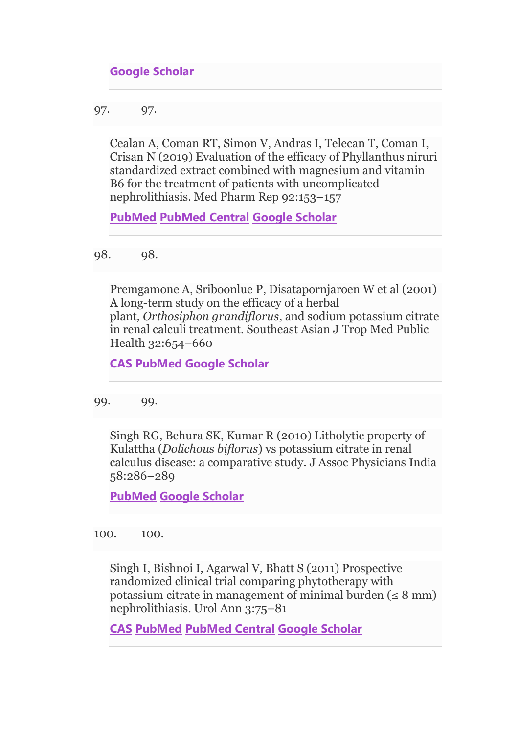## **[Google Scholar](http://scholar.google.com/scholar_lookup?&title=Dietary%20plants%20for%20the%20prevention%20and%20management%20of%20kidney%20stones%3A%20preclinical%20and%20clinical%20evidence%20and%20molecular%20mechanisms&journal=Int%20J%20Mol%20Sci.&volume=19&publication_year=2018&author=Nirumand%2CMC&author=Hajialyani%2CM&author=Rahimi%2CR&author=Farzaei%2CMH&author=Zingue%2CS&author=Nabavi%2CSM&author=Bishayee%2CA)**

97. 97.

Cealan A, Coman RT, Simon V, Andras I, Telecan T, Coman I, Crisan N (2019) Evaluation of the efficacy of Phyllanthus niruri standardized extract combined with magnesium and vitamin B6 for the treatment of patients with uncomplicated nephrolithiasis. Med Pharm Rep 92:153–157

**[PubMed](http://www.ncbi.nlm.nih.gov/entrez/query.fcgi?cmd=Retrieve&db=PubMed&dopt=Abstract&list_uids=31086843) [PubMed Central](http://www.ncbi.nlm.nih.gov/pmc/articles/PMC6510356) [Google Scholar](http://scholar.google.com/scholar_lookup?&title=Evaluation%20of%20the%20efficacy%20of%20Phyllanthus%20niruri%20standardized%20extract%20combined%20with%20magnesium%20and%20vitamin%20B6%20for%20the%20treatment%20of%20patients%20with%20uncomplicated%20nephrolithiasis&journal=Med%20Pharm%20Rep&volume=92&pages=153-157&publication_year=2019&author=Cealan%2CA&author=Coman%2CRT&author=Simon%2CV&author=Andras%2CI&author=Telecan%2CT&author=Coman%2CI&author=Crisan%2CN)**

98. 98.

Premgamone A, Sriboonlue P, Disatapornjaroen W et al (2001) A long-term study on the efficacy of a herbal plant, *Orthosiphon grandiflorus*, and sodium potassium citrate in renal calculi treatment. Southeast Asian J Trop Med Public Health 32:654–660

**[CAS](https://link.springer.com/articles/cas-redirect/1%3ASTN%3A280%3ADC%252BD383htFWjtg%253D%253D) [PubMed](http://www.ncbi.nlm.nih.gov/entrez/query.fcgi?cmd=Retrieve&db=PubMed&dopt=Abstract&list_uids=11944733) [Google Scholar](http://scholar.google.com/scholar_lookup?&title=A%20long-term%20study%20on%20the%20efficacy%20of%20a%20herbal%20plant%2C%20Orthosiphon%20grandiflorus%2C%20and%20sodium%20potassium%20citrate%20in%20renal%20calculi%20treatment&journal=Southeast%20Asian%20J%20Trop%20Med%20Public%20Health&volume=32&pages=654-660&publication_year=2001&author=Premgamone%2CA&author=Sriboonlue%2CP&author=Disatapornjaroen%2CW)**

99. 99.

Singh RG, Behura SK, Kumar R (2010) Litholytic property of Kulattha (*Dolichous biflorus*) vs potassium citrate in renal calculus disease: a comparative study. J Assoc Physicians India 58:286–289

**[PubMed](http://www.ncbi.nlm.nih.gov/entrez/query.fcgi?cmd=Retrieve&db=PubMed&dopt=Abstract&list_uids=21117346) [Google Scholar](http://scholar.google.com/scholar_lookup?&title=Litholytic%20property%20of%20Kulattha%20%28Dolichous%20biflorus%29%20vs%20potassium%20citrate%20in%20renal%20calculus%20disease%3A%20a%20comparative%20study&journal=J%20Assoc%20Physicians%20India&volume=58&pages=286-289&publication_year=2010&author=Singh%2CRG&author=Behura%2CSK&author=Kumar%2CR)**

100. 100.

Singh I, Bishnoi I, Agarwal V, Bhatt S (2011) Prospective randomized clinical trial comparing phytotherapy with potassium citrate in management of minimal burden ( $\leq 8$  mm) nephrolithiasis. Urol Ann 3:75–81

**[CAS](https://link.springer.com/articles/cas-redirect/1%3ACAS%3A528%3ADC%252BC3MXhsVaksLzL) [PubMed](http://www.ncbi.nlm.nih.gov/entrez/query.fcgi?cmd=Retrieve&db=PubMed&dopt=Abstract&list_uids=21747596) [PubMed Central](http://www.ncbi.nlm.nih.gov/pmc/articles/PMC3130482) [Google Scholar](http://scholar.google.com/scholar_lookup?&title=Prospective%20randomized%20clinical%20trial%20comparing%20phytotherapy%20with%20potassium%20citrate%20in%20management%20of%20minimal%20burden%20%28%E2%89%A4%208%20mm%29%20nephrolithiasis&journal=Urol%20Ann&volume=3&pages=75-81&publication_year=2011&author=Singh%2CI&author=Bishnoi%2CI&author=Agarwal%2CV&author=Bhatt%2CS)**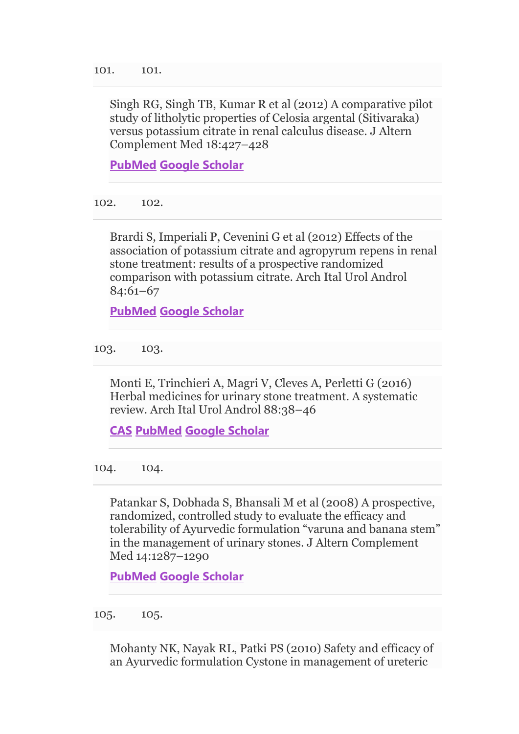Singh RG, Singh TB, Kumar R et al (2012) A comparative pilot study of litholytic properties of Celosia argental (Sitivaraka) versus potassium citrate in renal calculus disease. J Altern Complement Med 18:427–428

**[PubMed](http://www.ncbi.nlm.nih.gov/entrez/query.fcgi?cmd=Retrieve&db=PubMed&dopt=Abstract&list_uids=22537564) [Google Scholar](http://scholar.google.com/scholar_lookup?&title=A%20comparative%20pilot%20study%20of%20litholytic%20properties%20of%20Celosia%20argental%20%28Sitivaraka%29%20versus%20potassium%20citrate%20in%20renal%20calculus%20disease&journal=J%20Altern%20Complement%20Med&volume=18&pages=427-428&publication_year=2012&author=Singh%2CRG&author=Singh%2CTB&author=Kumar%2CR)**

102. 102.

Brardi S, Imperiali P, Cevenini G et al (2012) Effects of the association of potassium citrate and agropyrum repens in renal stone treatment: results of a prospective randomized comparison with potassium citrate. Arch Ital Urol Androl 84:61–67

**[PubMed](http://www.ncbi.nlm.nih.gov/entrez/query.fcgi?cmd=Retrieve&db=PubMed&dopt=Abstract&list_uids=22908773) [Google Scholar](http://scholar.google.com/scholar_lookup?&title=Effects%20of%20the%20association%20of%20potassium%20citrate%20and%20agropyrum%20repens%20in%20renal%20stone%20treatment%3A%20results%20of%20a%20prospective%20randomized%20comparison%20with%20potassium%20citrate&journal=Arch%20Ital%20Urol%20Androl&volume=84&pages=61-67&publication_year=2012&author=Brardi%2CS&author=Imperiali%2CP&author=Cevenini%2CG)**

103. 103.

Monti E, Trinchieri A, Magri V, Cleves A, Perletti G (2016) Herbal medicines for urinary stone treatment. A systematic review. Arch Ital Urol Androl 88:38–46

**[CAS](https://link.springer.com/articles/cas-redirect/1%3ACAS%3A528%3ADC%252BC1cXnvFGis78%253D) [PubMed](http://www.ncbi.nlm.nih.gov/entrez/query.fcgi?cmd=Retrieve&db=PubMed&dopt=Abstract&list_uids=27072174) [Google Scholar](http://scholar.google.com/scholar_lookup?&title=Herbal%20medicines%20for%20urinary%20stone%20treatment.%20A%20systematic%20review&journal=Arch%20Ital%20Urol%20Androl&volume=88&pages=38-46&publication_year=2016&author=Monti%2CE&author=Trinchieri%2CA&author=Magri%2CV&author=Cleves%2CA&author=Perletti%2CG)**

104. 104.

Patankar S, Dobhada S, Bhansali M et al (2008) A prospective, randomized, controlled study to evaluate the efficacy and tolerability of Ayurvedic formulation "varuna and banana stem" in the management of urinary stones. J Altern Complement Med 14:1287–1290

**[PubMed](http://www.ncbi.nlm.nih.gov/entrez/query.fcgi?cmd=Retrieve&db=PubMed&dopt=Abstract&list_uids=19040391) [Google Scholar](http://scholar.google.com/scholar_lookup?&title=A%20prospective%2C%20randomized%2C%20controlled%20study%20to%20evaluate%20the%20efficacy%20and%20tolerability%20of%20Ayurvedic%20formulation%20%E2%80%9Cvaruna%20and%20banana%20stem%E2%80%9D%20in%20the%20management%20of%20urinary%20stones&journal=J%20Altern%20Complement%20Med&volume=14&pages=1287-1290&publication_year=2008&author=Patankar%2CS&author=Dobhada%2CS&author=Bhansali%2CM)**

105. 105.

Mohanty NK, Nayak RL, Patki PS (2010) Safety and efficacy of an Ayurvedic formulation Cystone in management of ureteric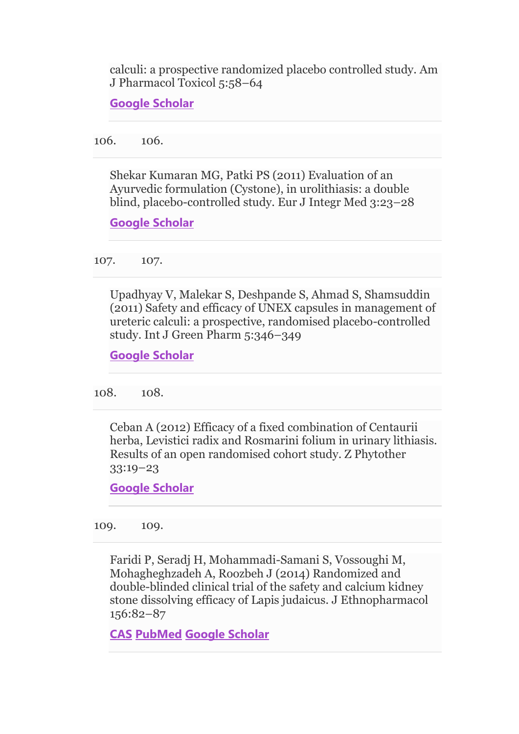calculi: a prospective randomized placebo controlled study. Am J Pharmacol Toxicol 5:58–64

**[Google Scholar](http://scholar.google.com/scholar_lookup?&title=Safety%20and%20efficacy%20of%20an%20Ayurvedic%20formulation%20Cystone%20in%20management%20of%20ureteric%20calculi%3A%20a%20prospective%20randomized%20placebo%20controlled%20study&journal=Am%20J%20Pharmacol%20Toxicol&volume=5&pages=58-64&publication_year=2010&author=Mohanty%2CNK&author=Nayak%2CRL&author=Patki%2CPS)**

106. 106.

Shekar Kumaran MG, Patki PS (2011) Evaluation of an Ayurvedic formulation (Cystone), in urolithiasis: a double blind, placebo-controlled study. Eur J Integr Med 3:23–28

**[Google Scholar](http://scholar.google.com/scholar_lookup?&title=Evaluation%20of%20an%20Ayurvedic%20formulation%20%28Cystone%29%2C%20in%20urolithiasis%3A%20a%20double%20blind%2C%20placebo-controlled%20study&journal=Eur%20J%20Integr%20Med&volume=3&pages=23-28&publication_year=2011&author=Shekar%20Kumaran%2CMG&author=Patki%2CPS)**

107. 107.

Upadhyay V, Malekar S, Deshpande S, Ahmad S, Shamsuddin (2011) Safety and efficacy of UNEX capsules in management of ureteric calculi: a prospective, randomised placebo-controlled study. Int J Green Pharm 5:346–349

**[Google Scholar](http://scholar.google.com/scholar_lookup?&title=Safety%20and%20efficacy%20of%20UNEX%20capsules%20in%20management%20of%20ureteric%20calculi%3A%20a%20prospective%2C%20randomised%20placebo-controlled%20study&journal=Int%20J%20Green%20Pharm&volume=5&pages=346-349&publication_year=2011&author=Upadhyay%2CV&author=Malekar%2CS&author=Deshpande%2CS&author=Ahmad%2CS&author=Shamsuddin%2C)**

108. 108.

Ceban A (2012) Efficacy of a fixed combination of Centaurii herba, Levistici radix and Rosmarini folium in urinary lithiasis. Results of an open randomised cohort study. Z Phytother 33:19–23

**[Google Scholar](http://scholar.google.com/scholar_lookup?&title=Efficacy%20of%20a%20fixed%20combination%20of%20Centaurii%20herba%2C%20Levistici%20radix%20and%20Rosmarini%20folium%20in%20urinary%20lithiasis.%20Results%20of%20an%20open%20randomised%20cohort%20study&journal=Z%20Phytother&volume=33&pages=19-23&publication_year=2012&author=Ceban%2CA)**

109. 109.

Faridi P, Seradj H, Mohammadi-Samani S, Vossoughi M, Mohagheghzadeh A, Roozbeh J (2014) Randomized and double-blinded clinical trial of the safety and calcium kidney stone dissolving efficacy of Lapis judaicus. J Ethnopharmacol 156:82–87

**[CAS](https://link.springer.com/articles/cas-redirect/1%3ACAS%3A528%3ADC%252BC2cXhsV2ktrfK) [PubMed](http://www.ncbi.nlm.nih.gov/entrez/query.fcgi?cmd=Retrieve&db=PubMed&dopt=Abstract&list_uids=25193008) [Google Scholar](http://scholar.google.com/scholar_lookup?&title=Randomized%20and%20double-blinded%20clinical%20trial%20of%20the%20safety%20and%20calcium%20kidney%20stone%20dissolving%20efficacy%20of%20Lapis%20judaicus&journal=J%20Ethnopharmacol&volume=156&pages=82-87&publication_year=2014&author=Faridi%2CP&author=Seradj%2CH&author=Mohammadi-Samani%2CS&author=Vossoughi%2CM&author=Mohagheghzadeh%2CA&author=Roozbeh%2CJ)**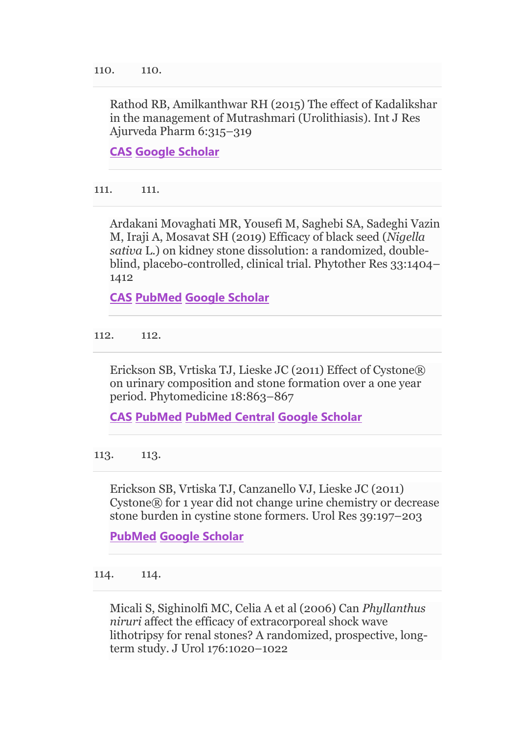Rathod RB, Amilkanthwar RH (2015) The effect of Kadalikshar in the management of Mutrashmari (Urolithiasis). Int J Res Ajurveda Pharm 6:315–319

**[CAS](https://link.springer.com/articles/cas-redirect/1%3ACAS%3A528%3ADC%252BC28Xlt12htr8%253D) [Google Scholar](http://scholar.google.com/scholar_lookup?&title=The%20effect%20of%20Kadalikshar%20in%20the%20management%20of%20Mutrashmari%20%28Urolithiasis%29&journal=Int%20J%20Res%20Ajurveda%20Pharm&volume=6&pages=315-319&publication_year=2015&author=Rathod%2CRB&author=Amilkanthwar%2CRH)**

111. 111.

Ardakani Movaghati MR, Yousefi M, Saghebi SA, Sadeghi Vazin M, Iraji A, Mosavat SH (2019) Efficacy of black seed (*Nigella sativa* L.) on kidney stone dissolution: a randomized, doubleblind, placebo-controlled, clinical trial. Phytother Res 33:1404– 1412

**[CAS](https://link.springer.com/articles/cas-redirect/1%3ACAS%3A528%3ADC%252BC1MXhtVCjtr3P) [PubMed](http://www.ncbi.nlm.nih.gov/entrez/query.fcgi?cmd=Retrieve&db=PubMed&dopt=Abstract&list_uids=30873671) [Google Scholar](http://scholar.google.com/scholar_lookup?&title=Efficacy%20of%20black%20seed%20%28Nigella%20sativa%20L.%29%20on%20kidney%20stone%20dissolution%3A%20a%20randomized%2C%20double-blind%2C%20placebo-controlled%2C%20clinical%20trial&journal=Phytother%20Res&volume=33&pages=1404-1412&publication_year=2019&author=Ardakani%20Movaghati%2CMR&author=Yousefi%2CM&author=Saghebi%2CSA&author=Sadeghi%20Vazin%2CM&author=Iraji%2CA&author=Mosavat%2CSH)**

112. 112.

Erickson SB, Vrtiska TJ, Lieske JC (2011) Effect of Cystone® on urinary composition and stone formation over a one year period. Phytomedicine 18:863–867

**[CAS](https://link.springer.com/articles/cas-redirect/1%3ASTN%3A280%3ADC%252BC3MnltlKgtA%253D%253D) [PubMed](http://www.ncbi.nlm.nih.gov/entrez/query.fcgi?cmd=Retrieve&db=PubMed&dopt=Abstract&list_uids=21419609) [PubMed Central](http://www.ncbi.nlm.nih.gov/pmc/articles/PMC3925635) [Google Scholar](http://scholar.google.com/scholar_lookup?&title=Effect%20of%20Cystone%C2%AE%20on%20urinary%20composition%20and%20stone%20formation%20over%20a%20one%20year%20period&journal=Phytomedicine&volume=18&pages=863-867&publication_year=2011&author=Erickson%2CSB&author=Vrtiska%2CTJ&author=Lieske%2CJC)**

113. 113.

Erickson SB, Vrtiska TJ, Canzanello VJ, Lieske JC (2011) Cystone® for 1 year did not change urine chemistry or decrease stone burden in cystine stone formers. Urol Res 39:197–203

**[PubMed](http://www.ncbi.nlm.nih.gov/entrez/query.fcgi?cmd=Retrieve&db=PubMed&dopt=Abstract&list_uids=21161651) [Google Scholar](http://scholar.google.com/scholar_lookup?&title=Cystone%C2%AE%20for%201%20year%20did%20not%20change%20urine%20chemistry%20or%20decrease%20stone%20burden%20in%20cystine%20stone%20formers&journal=Urol%20Res&volume=39&pages=197-203&publication_year=2011&author=Erickson%2CSB&author=Vrtiska%2CTJ&author=Canzanello%2CVJ&author=Lieske%2CJC)**

114. 114.

Micali S, Sighinolfi MC, Celia A et al (2006) Can *Phyllanthus niruri* affect the efficacy of extracorporeal shock wave lithotripsy for renal stones? A randomized, prospective, longterm study. J Urol 176:1020–1022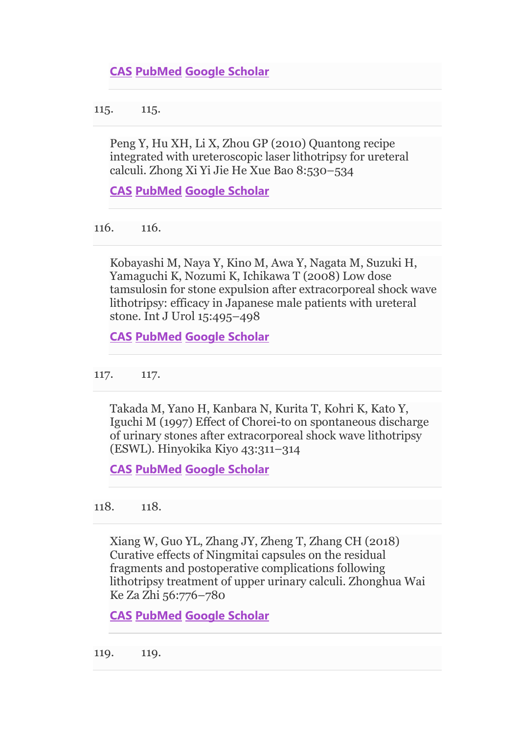115. 115.

Peng Y, Hu XH, Li X, Zhou GP (2010) Quantong recipe integrated with ureteroscopic laser lithotripsy for ureteral calculi. Zhong Xi Yi Jie He Xue Bao 8:530–534

**[CAS](https://link.springer.com/articles/cas-redirect/1%3ACAS%3A528%3ADC%252BC3cXhtlGgsL%252FJ) [PubMed](http://www.ncbi.nlm.nih.gov/entrez/query.fcgi?cmd=Retrieve&db=PubMed&dopt=Abstract&list_uids=20550874) [Google Scholar](http://scholar.google.com/scholar_lookup?&title=Quantong%20recipe%20integrated%20with%20ureteroscopic%20laser%20lithotripsy%20for%20ureteral%20calculi&journal=Zhong%20Xi%20Yi%20Jie%20He%20Xue%20Bao&volume=8&pages=530-534&publication_year=2010&author=Peng%2CY&author=Hu%2CXH&author=Li%2CX&author=Zhou%2CGP)**

116. 116.

Kobayashi M, Naya Y, Kino M, Awa Y, Nagata M, Suzuki H, Yamaguchi K, Nozumi K, Ichikawa T (2008) Low dose tamsulosin for stone expulsion after extracorporeal shock wave lithotripsy: efficacy in Japanese male patients with ureteral stone. Int J Urol 15:495–498

**[CAS](https://link.springer.com/articles/cas-redirect/1%3ACAS%3A528%3ADC%252BD1cXoslCiu7k%253D) [PubMed](http://www.ncbi.nlm.nih.gov/entrez/query.fcgi?cmd=Retrieve&db=PubMed&dopt=Abstract&list_uids=18422579) [Google Scholar](http://scholar.google.com/scholar_lookup?&title=Low%20dose%20tamsulosin%20for%20stone%20expulsion%20after%20extracorporeal%20shock%20wave%20lithotripsy%3A%20efficacy%20in%20Japanese%20male%20patients%20with%20ureteral%20stone&journal=Int%20J%20Urol&volume=15&pages=495-498&publication_year=2008&author=Kobayashi%2CM&author=Naya%2CY&author=Kino%2CM&author=Awa%2CY&author=Nagata%2CM&author=Suzuki%2CH&author=Yamaguchi%2CK&author=Nozumi%2CK&author=Ichikawa%2CT)**

117. 117.

Takada M, Yano H, Kanbara N, Kurita T, Kohri K, Kato Y, Iguchi M (1997) Effect of Chorei-to on spontaneous discharge of urinary stones after extracorporeal shock wave lithotripsy (ESWL). Hinyokika Kiyo 43:311–314

**[CAS](https://link.springer.com/articles/cas-redirect/1%3ASTN%3A280%3ADyaK2szgsFKjtA%253D%253D) [PubMed](http://www.ncbi.nlm.nih.gov/entrez/query.fcgi?cmd=Retrieve&db=PubMed&dopt=Abstract&list_uids=9161864) [Google Scholar](http://scholar.google.com/scholar_lookup?&title=Effect%20of%20Chorei-to%20on%20spontaneous%20discharge%20of%20urinary%20stones%20after%20extracorporeal%20shock%20wave%20lithotripsy%20%28ESWL%29&journal=Hinyokika%20Kiyo&volume=43&pages=311-314&publication_year=1997&author=Takada%2CM&author=Yano%2CH&author=Kanbara%2CN&author=Kurita%2CT&author=Kohri%2CK&author=Kato%2CY&author=Iguchi%2CM)**

118. 118.

Xiang W, Guo YL, Zhang JY, Zheng T, Zhang CH (2018) Curative effects of Ningmitai capsules on the residual fragments and postoperative complications following lithotripsy treatment of upper urinary calculi. Zhonghua Wai Ke Za Zhi 56:776–780

**[CAS](https://link.springer.com/articles/cas-redirect/1%3ASTN%3A280%3ADC%252BB3cvktFWmtQ%253D%253D) [PubMed](http://www.ncbi.nlm.nih.gov/entrez/query.fcgi?cmd=Retrieve&db=PubMed&dopt=Abstract&list_uids=30369161) [Google Scholar](http://scholar.google.com/scholar_lookup?&title=Curative%20effects%20of%20Ningmitai%20capsules%20on%20the%20residual%20fragments%20and%20postoperative%20complications%20following%20lithotripsy%20treatment%20of%20upper%20urinary%20calculi&journal=Zhonghua%20Wai%20Ke%20Za%20Zhi&volume=56&pages=776-780&publication_year=2018&author=Xiang%2CW&author=Guo%2CYL&author=Zhang%2CJY&author=Zheng%2CT&author=Zhang%2CCH)**

119. 119.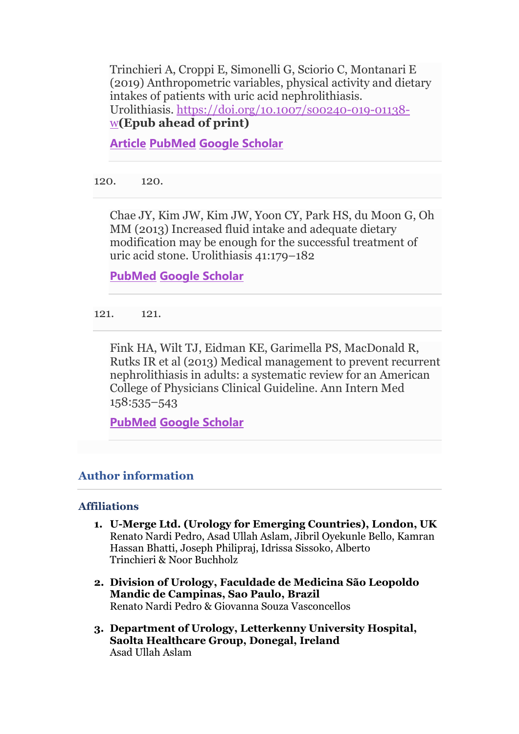Trinchieri A, Croppi E, Simonelli G, Sciorio C, Montanari E (2019) Anthropometric variables, physical activity and dietary intakes of patients with uric acid nephrolithiasis. Urolithiasis. [https://doi.org/10.1007/s00240-019-01138](https://doi.org/10.1007/s00240-019-01138-w) [w](https://doi.org/10.1007/s00240-019-01138-w)**(Epub ahead of print)**

**[Article](https://doi.org/10.1007%2Fs00240-019-01138-w) [PubMed](http://www.ncbi.nlm.nih.gov/entrez/query.fcgi?cmd=Retrieve&db=PubMed&dopt=Abstract&list_uids=31037403) [Google Scholar](http://scholar.google.com/scholar_lookup?&title=Anthropometric%20variables%2C%20physical%20activity%20and%20dietary%20intakes%20of%20patients%20with%20uric%20acid%20nephrolithiasis&journal=Urolithiasis&doi=10.1007%2Fs00240-019-01138-w&publication_year=2019&author=Trinchieri%2CA&author=Croppi%2CE&author=Simonelli%2CG&author=Sciorio%2CC&author=Montanari%2CE)**

120. 120.

Chae JY, Kim JW, Kim JW, Yoon CY, Park HS, du Moon G, Oh MM (2013) Increased fluid intake and adequate dietary modification may be enough for the successful treatment of uric acid stone. Urolithiasis 41:179–182

**[PubMed](http://www.ncbi.nlm.nih.gov/entrez/query.fcgi?cmd=Retrieve&db=PubMed&dopt=Abstract&list_uids=23503881) [Google Scholar](http://scholar.google.com/scholar_lookup?&title=Increased%20fluid%20intake%20and%20adequate%20dietary%20modification%20may%20be%20enough%20for%20the%20successful%20treatment%20of%20uric%20acid%20stone&journal=Urolithiasis&volume=41&pages=179-182&publication_year=2013&author=Chae%2CJY&author=Kim%2CJW&author=Kim%2CJW&author=Yoon%2CCY&author=Park%2CHS&author=Moon%2CG&author=Oh%2CMM)**

121. 121.

Fink HA, Wilt TJ, Eidman KE, Garimella PS, MacDonald R, Rutks IR et al (2013) Medical management to prevent recurrent nephrolithiasis in adults: a systematic review for an American College of Physicians Clinical Guideline. Ann Intern Med 158:535–543

**[PubMed](http://www.ncbi.nlm.nih.gov/entrez/query.fcgi?cmd=Retrieve&db=PubMed&dopt=Abstract&list_uids=23546565) [Google Scholar](http://scholar.google.com/scholar_lookup?&title=Medical%20management%20to%20prevent%20recurrent%20nephrolithiasis%20in%20adults%3A%20a%20systematic%20review%20for%20an%20American%20College%20of%20Physicians%20Clinical%20Guideline&journal=Ann%20Intern%20Med&volume=158&pages=535-543&publication_year=2013&author=Fink%2CHA&author=Wilt%2CTJ&author=Eidman%2CKE&author=Garimella%2CPS&author=MacDonald%2CR&author=Rutks%2CIR)**

# **Author information**

## **Affiliations**

- **1. U-Merge Ltd. (Urology for Emerging Countries), London, UK** Renato Nardi Pedro, Asad Ullah Aslam, Jibril Oyekunle Bello, Kamran Hassan Bhatti, Joseph Philipraj, Idrissa Sissoko, Alberto Trinchieri & Noor Buchholz
- **2. Division of Urology, Faculdade de Medicina São Leopoldo Mandic de Campinas, Sao Paulo, Brazil** Renato Nardi Pedro & Giovanna Souza Vasconcellos
- **3. Department of Urology, Letterkenny University Hospital, Saolta Healthcare Group, Donegal, Ireland** Asad Ullah Aslam